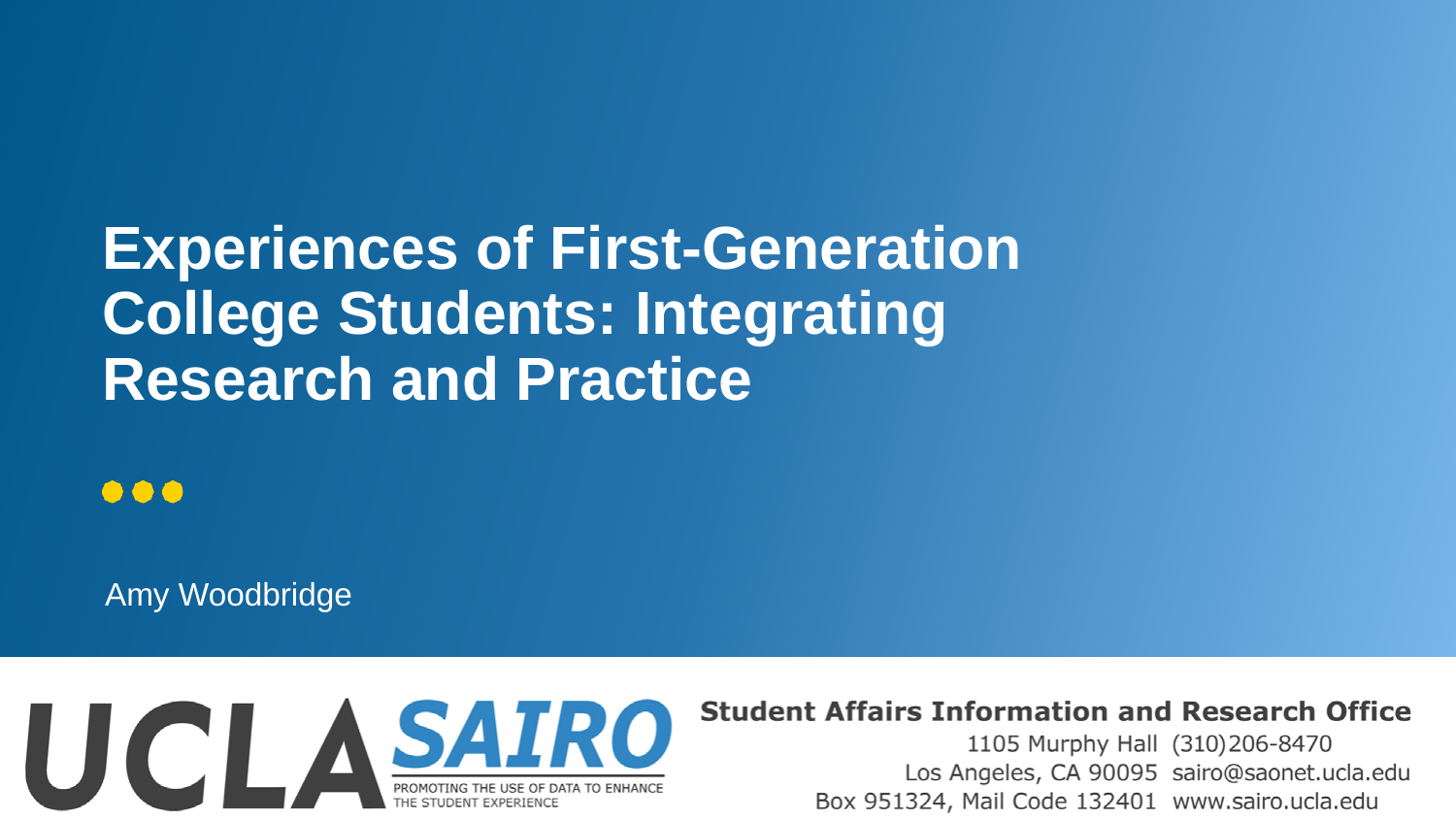### **Experiences of First-Generation College Students: Integrating Research and Practice**

#### ...

Amy Woodbridge



#### **Student Affairs Information and Research Office**

1105 Murphy Hall (310)206-8470 Los Angeles, CA 90095 sairo@saonet.ucla.edu Box 951324, Mail Code 132401 www.sairo.ucla.edu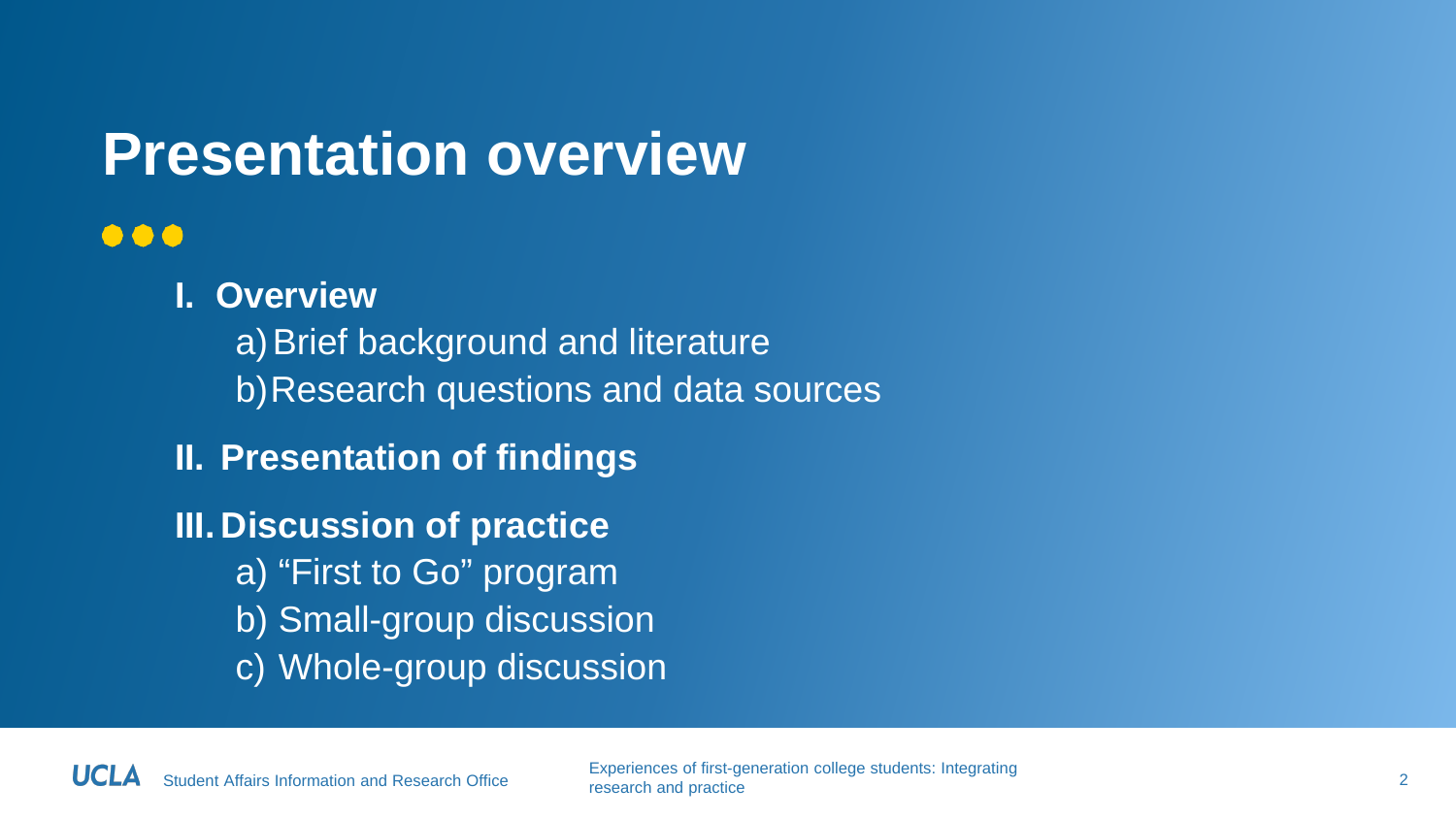### **Presentation overview**

#### $\bullet\bullet\bullet$

**I. Overview** a) Brief background and literature b)Research questions and data sources **II. Presentation of findings III. Discussion of practice** a) "First to Go" program b) Small-group discussion c) Whole-group discussion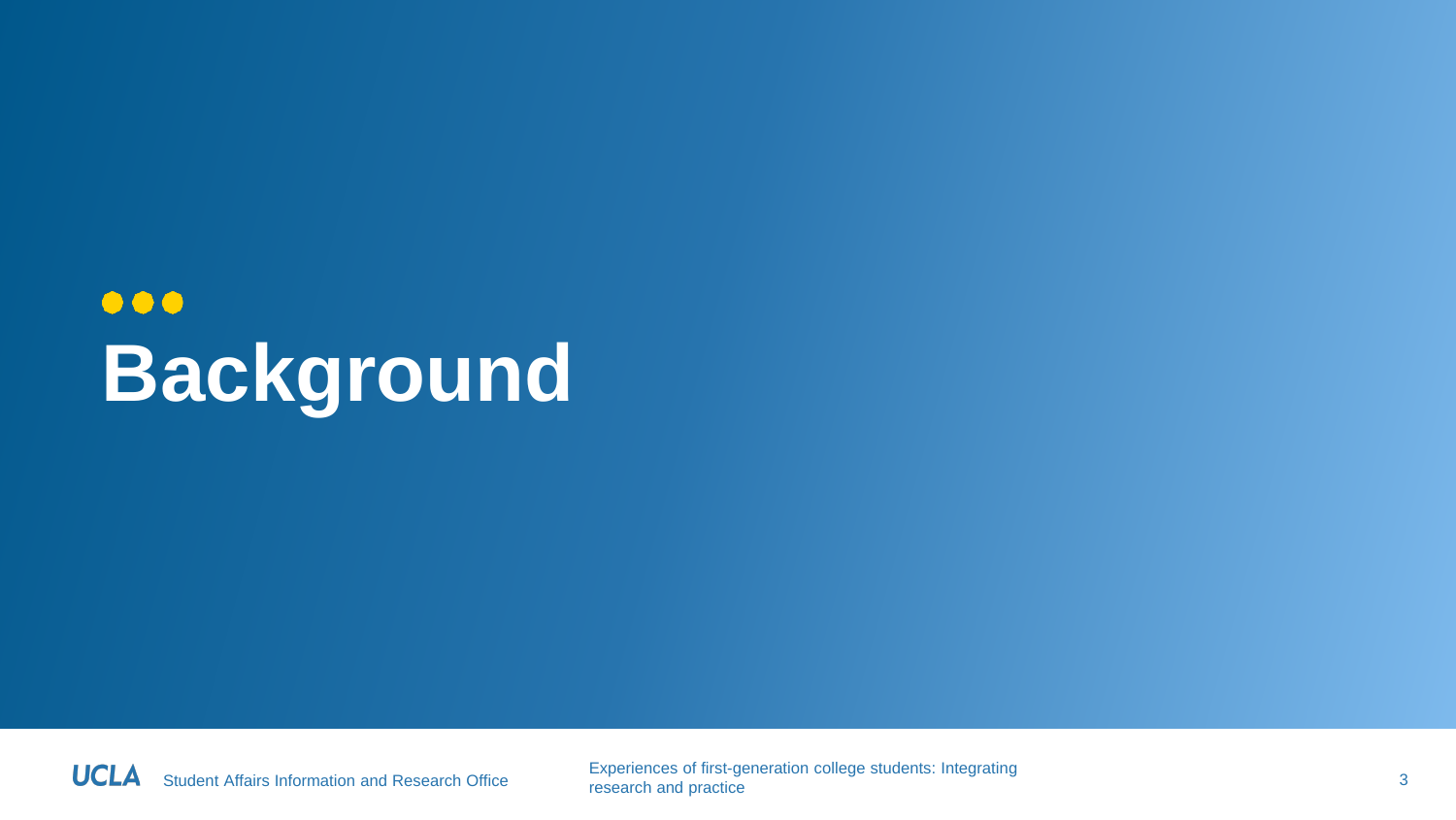### $\bullet\bullet\bullet$ **Background**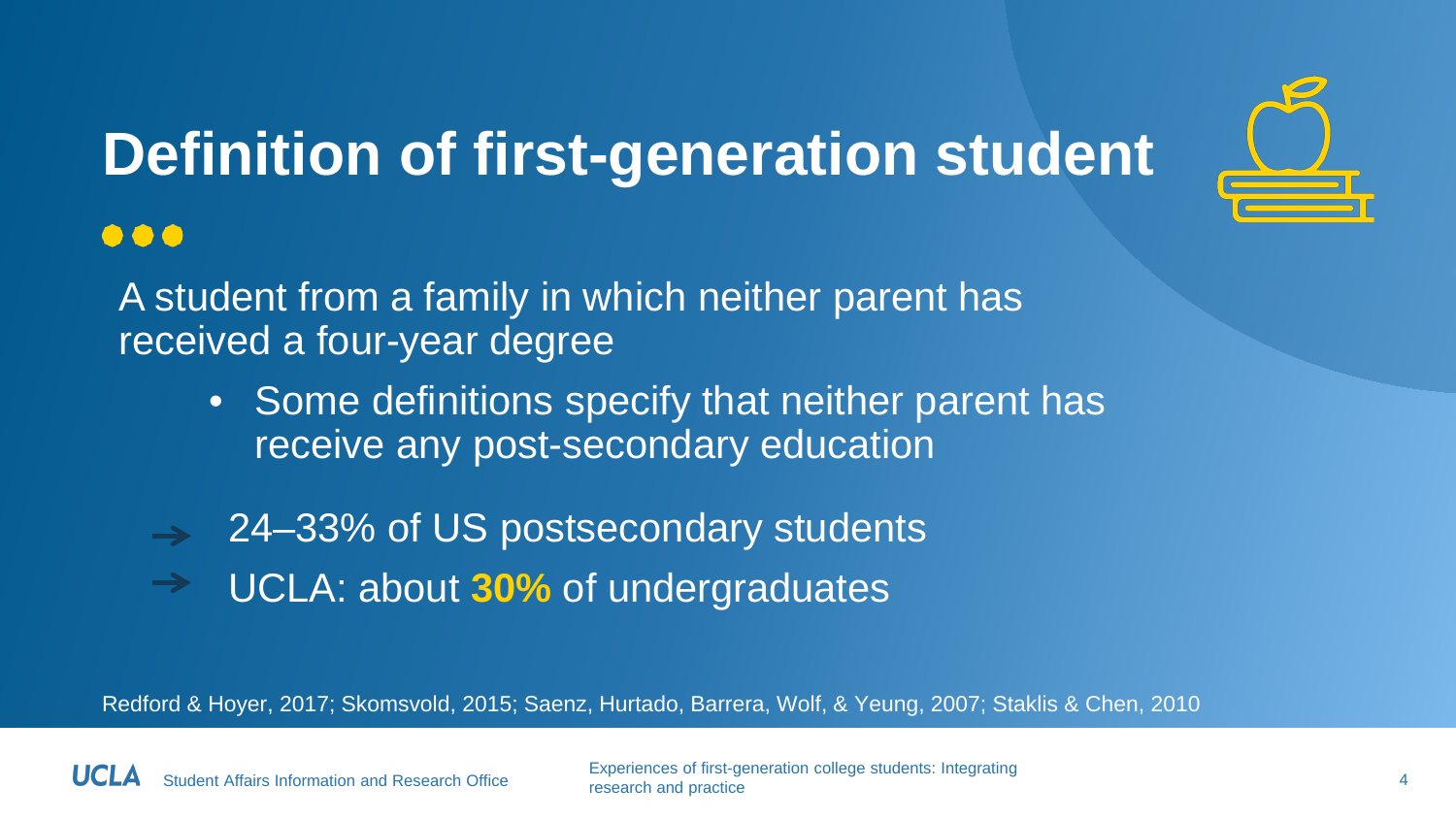

# **Definition of first-generation student**

#### $\bullet\bullet\bullet$

A student from a family in which neither parent has received a four-year degree

- Some definitions specify that neither parent has receive any post-secondary education
- 24–33% of US postsecondary students
- UCLA: about **30%** of undergraduates

Redford & Hoyer, 2017; Skomsvold, 2015; Saenz, Hurtado, Barrera, Wolf, & Yeung, 2007; Staklis & Chen, 2010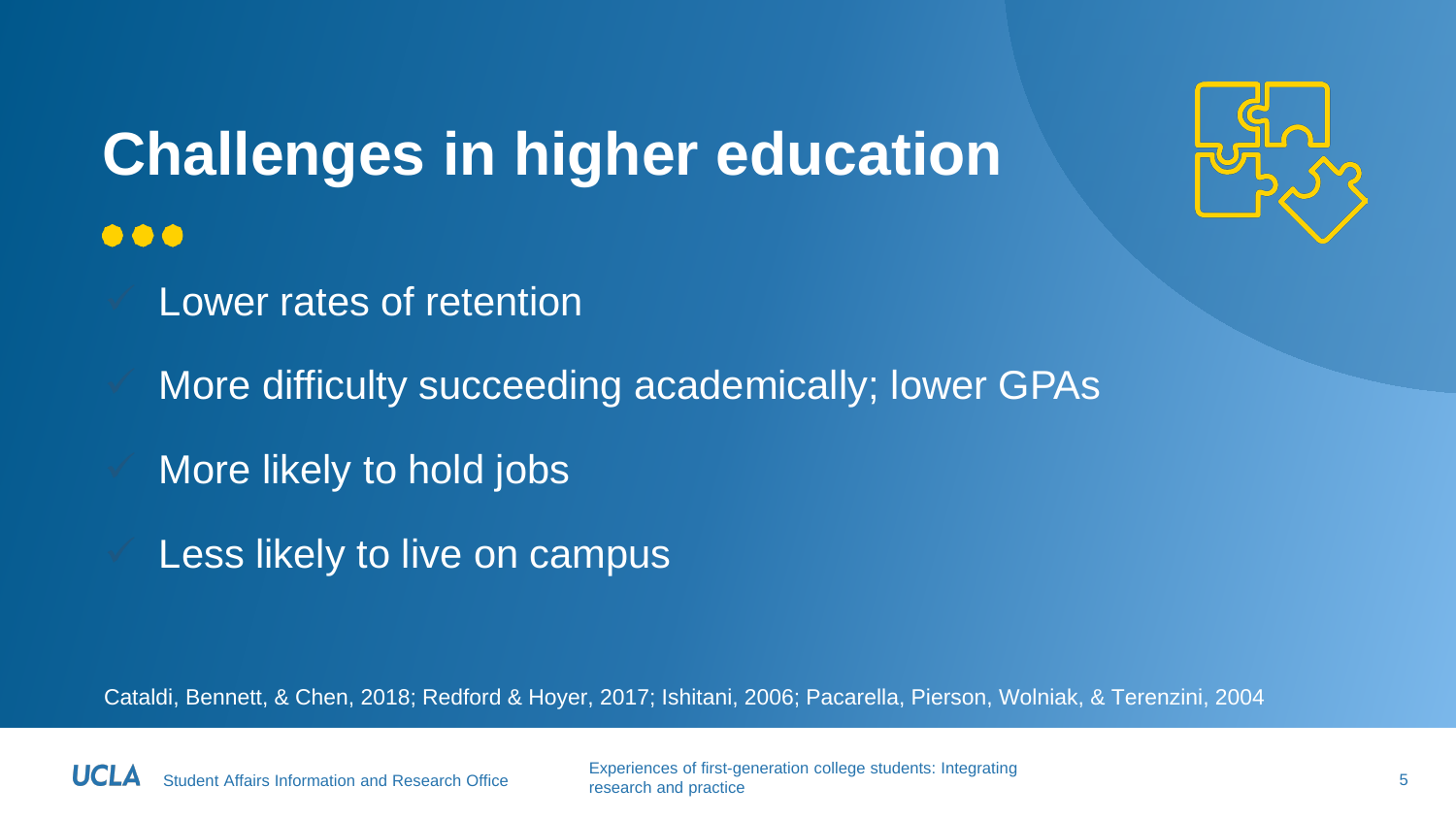

### **Challenges in higher education**  $\bullet\bullet\bullet$

- Lower rates of retention
- More difficulty succeeding academically; lower GPAs
- More likely to hold jobs
- Less likely to live on campus

Cataldi, Bennett, & Chen, 2018; Redford & Hoyer, 2017; Ishitani, 2006; Pacarella, Pierson, Wolniak, & Terenzini, 2004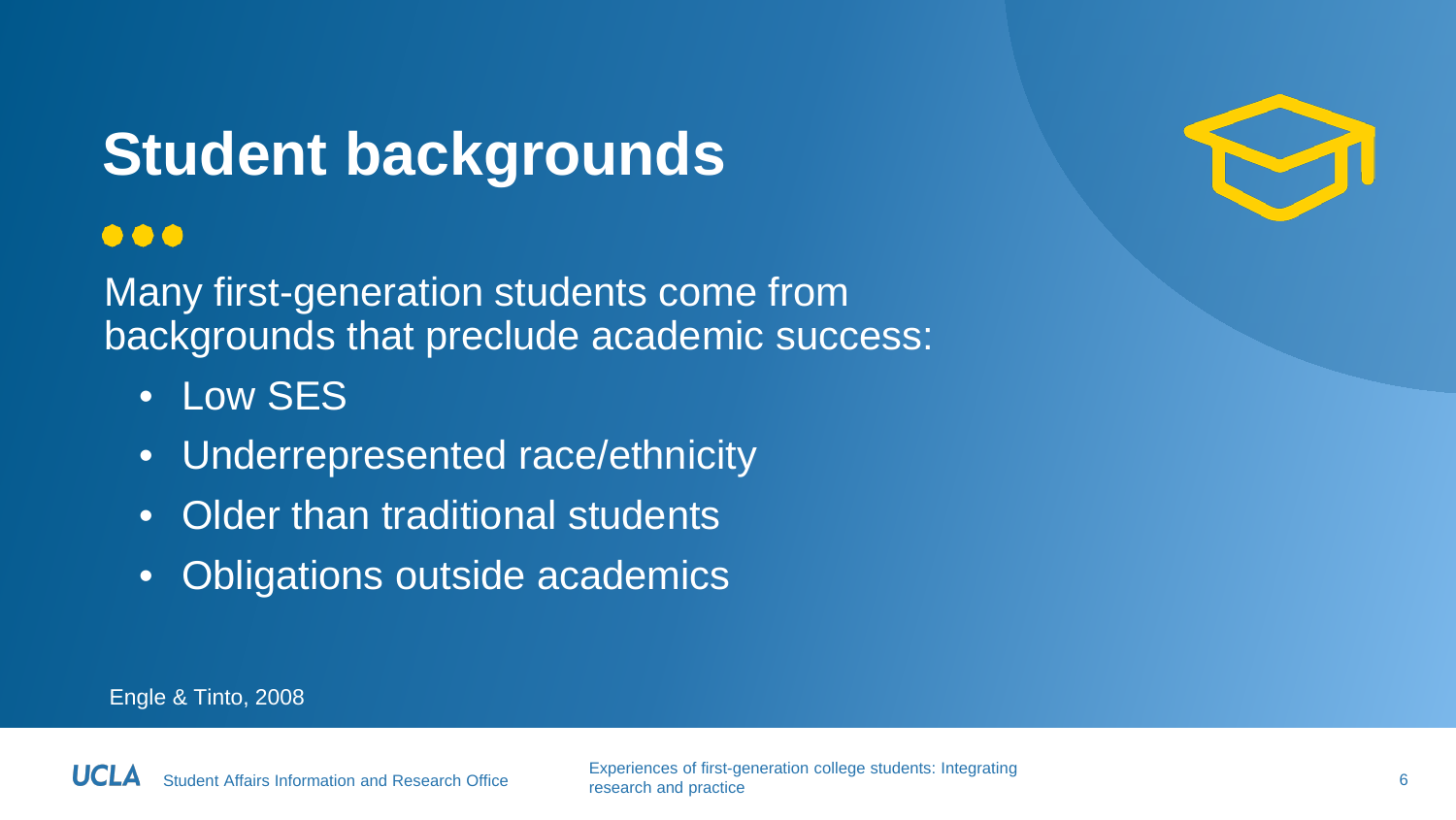### **Student backgrounds**

#### $\bullet\bullet\bullet$

Many first-generation students come from backgrounds that preclude academic success:

- Low SFS
- Underrepresented race/ethnicity
- Older than traditional students
- Obligations outside academics



Engle & Tinto, 2008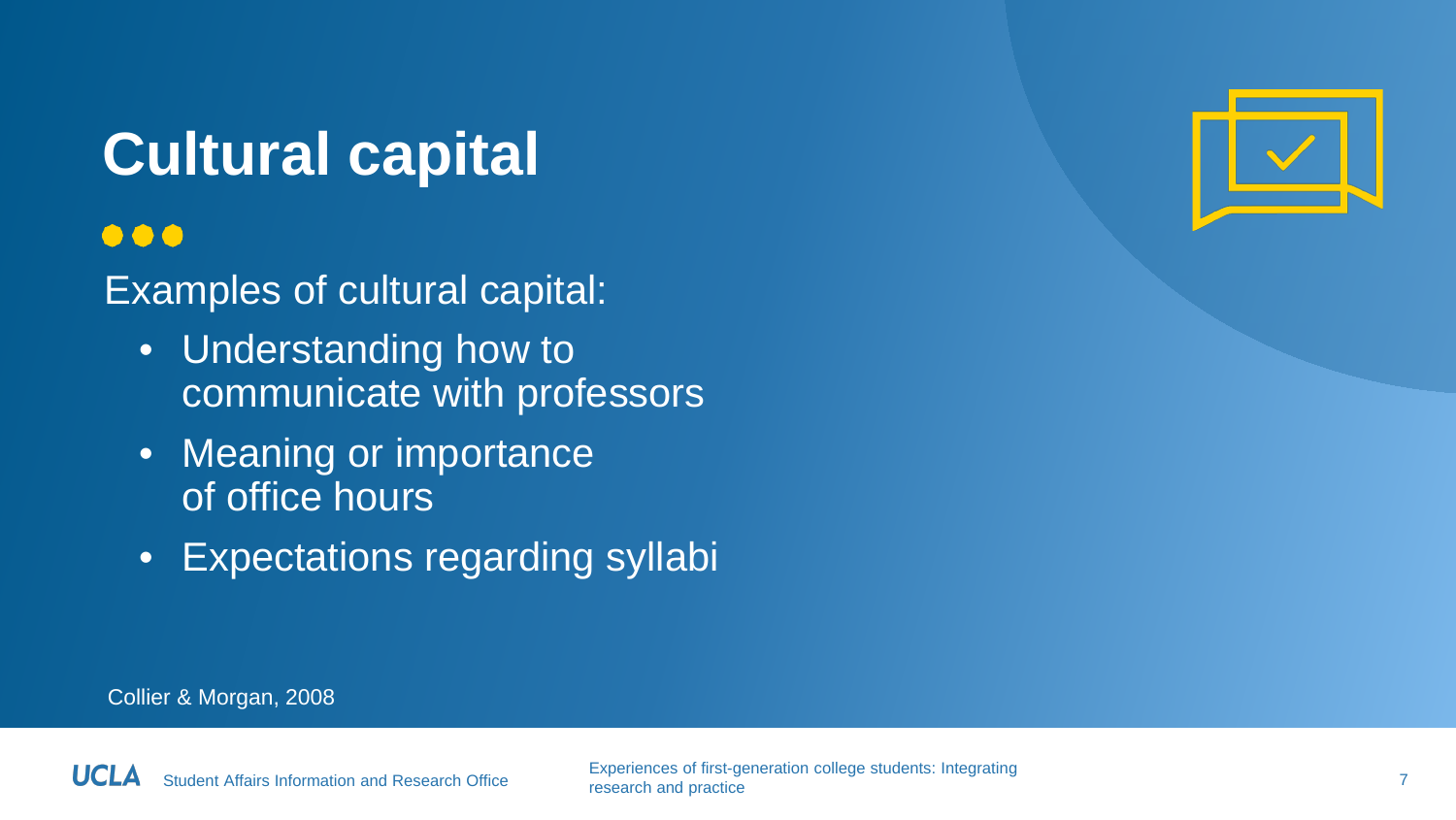### **Cultural capital**

#### $\bullet\bullet\bullet$

#### Examples of cultural capital:

- Understanding how to communicate with professors
- Meaning or importance of office hours
- Expectations regarding syllabi



Collier & Morgan, 2008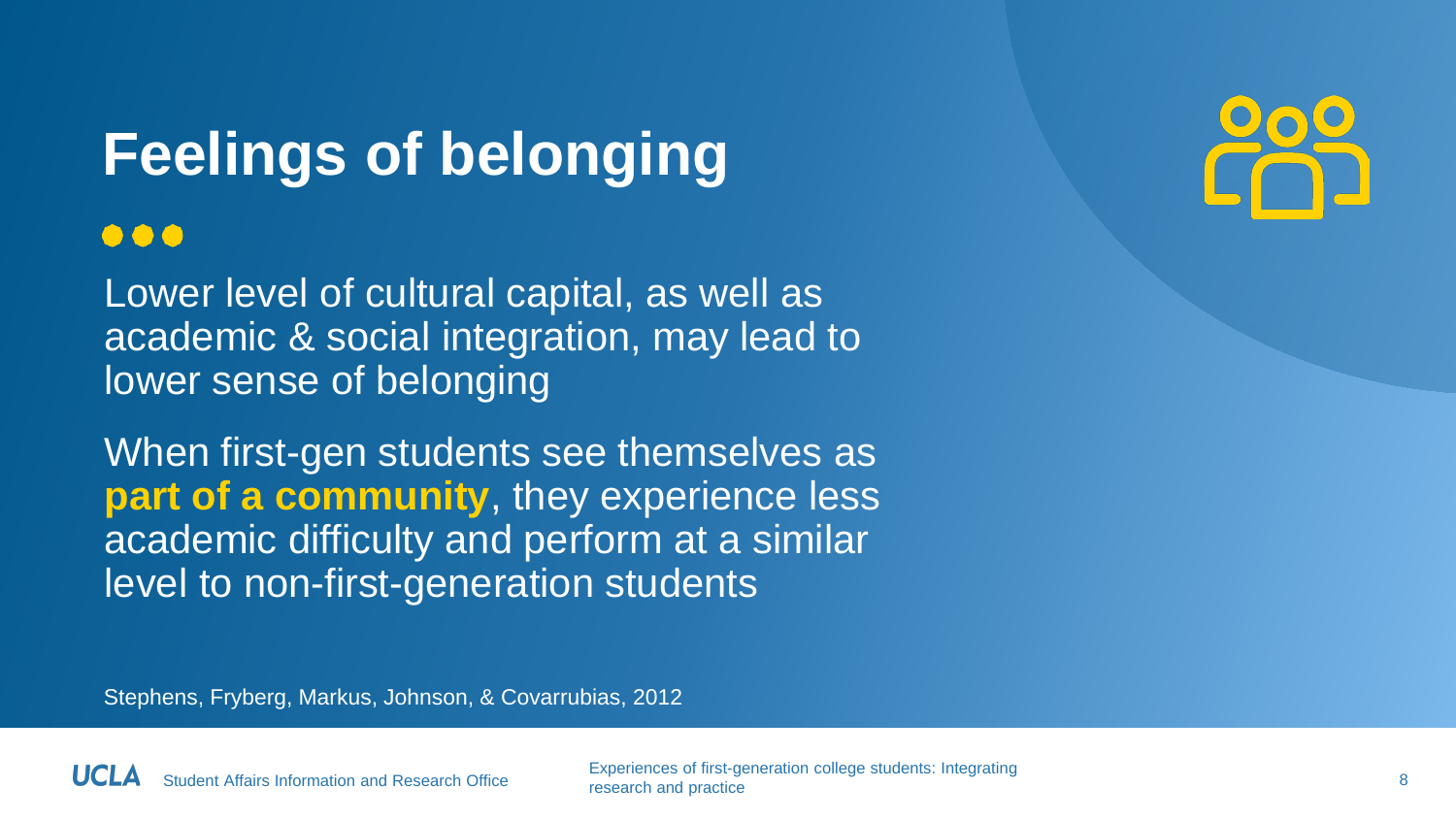### **Feelings of belonging**

#### $\bullet\bullet\bullet$

Lower level of cultural capital, as well as academic & social integration, may lead to lower sense of belonging

When first-gen students see themselves as **part of a community, they experience less** academic difficulty and perform at a similar level to non-first-generation students



Stephens, Fryberg, Markus, Johnson, & Covarrubias, 2012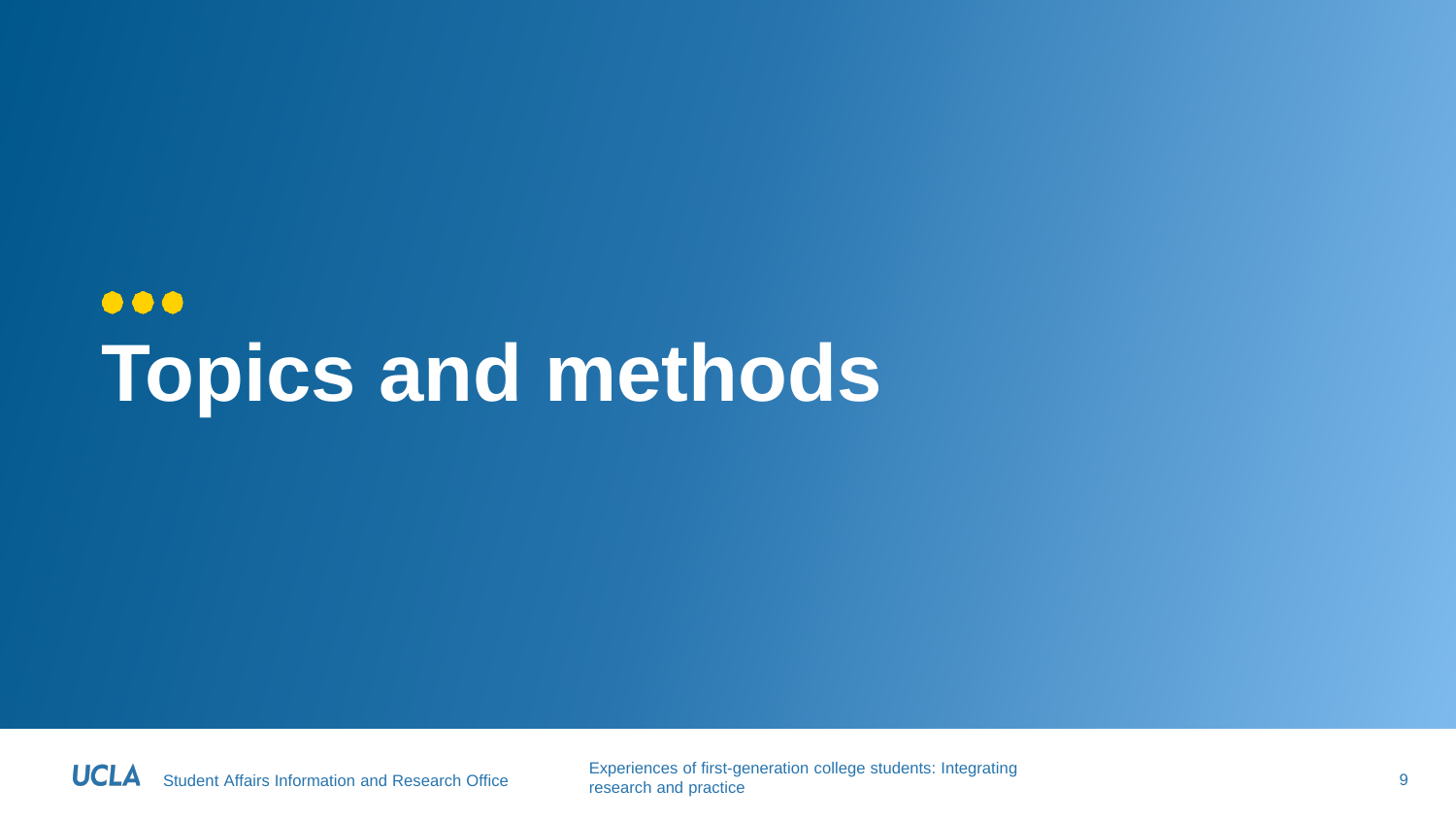### $\bullet\bullet\bullet$ **Topics and methods**

Student Affairs Information and Research Office Experiences of first-generation college students: Integrating research and practice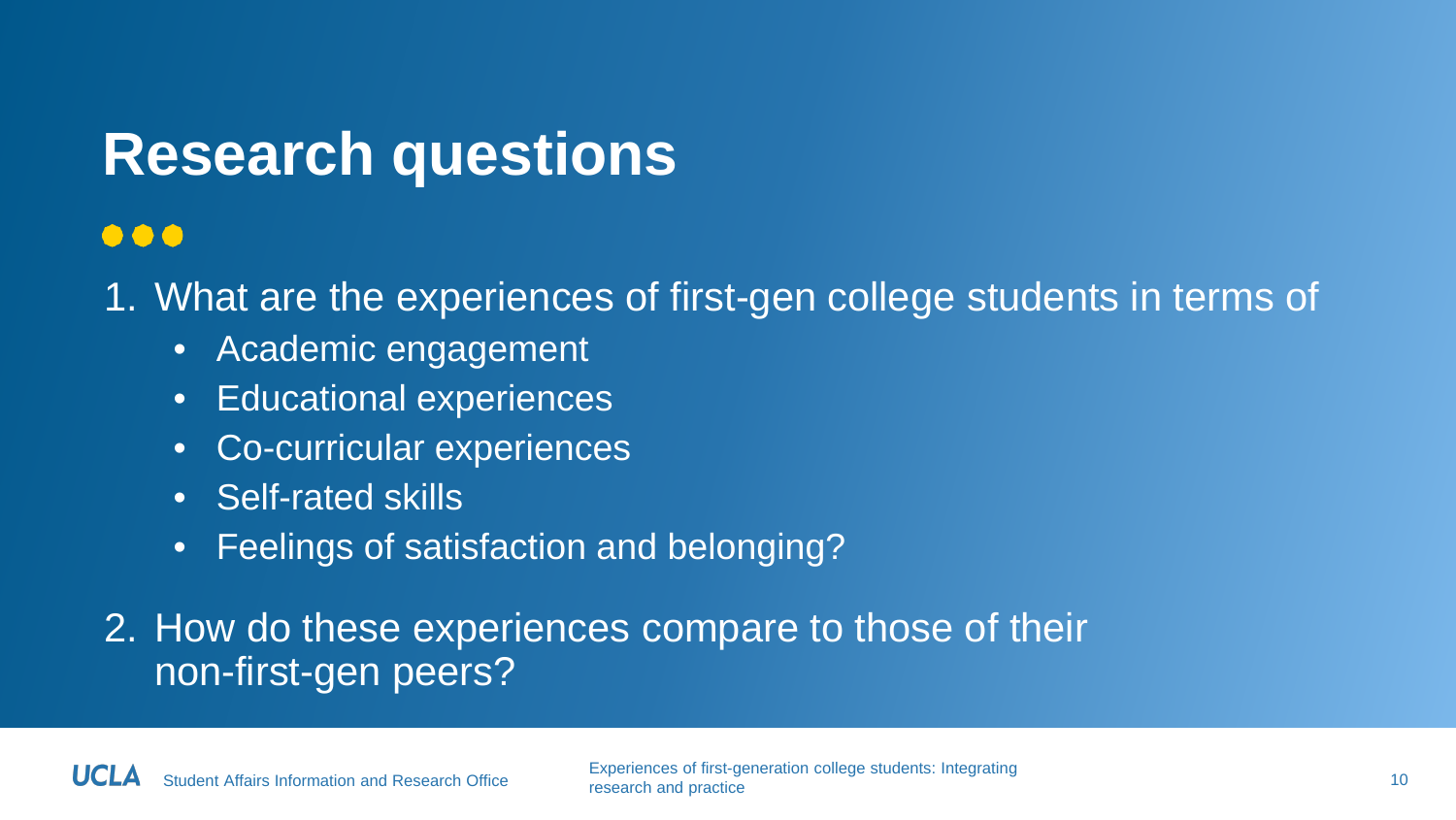#### **Research questions**

#### $\bullet\bullet\bullet$

1. What are the experiences of first-gen college students in terms of

- Academic engagement
- Educational experiences
- Co-curricular experiences
- Self-rated skills
- Feelings of satisfaction and belonging?

#### 2. How do these experiences compare to those of their non-first-gen peers?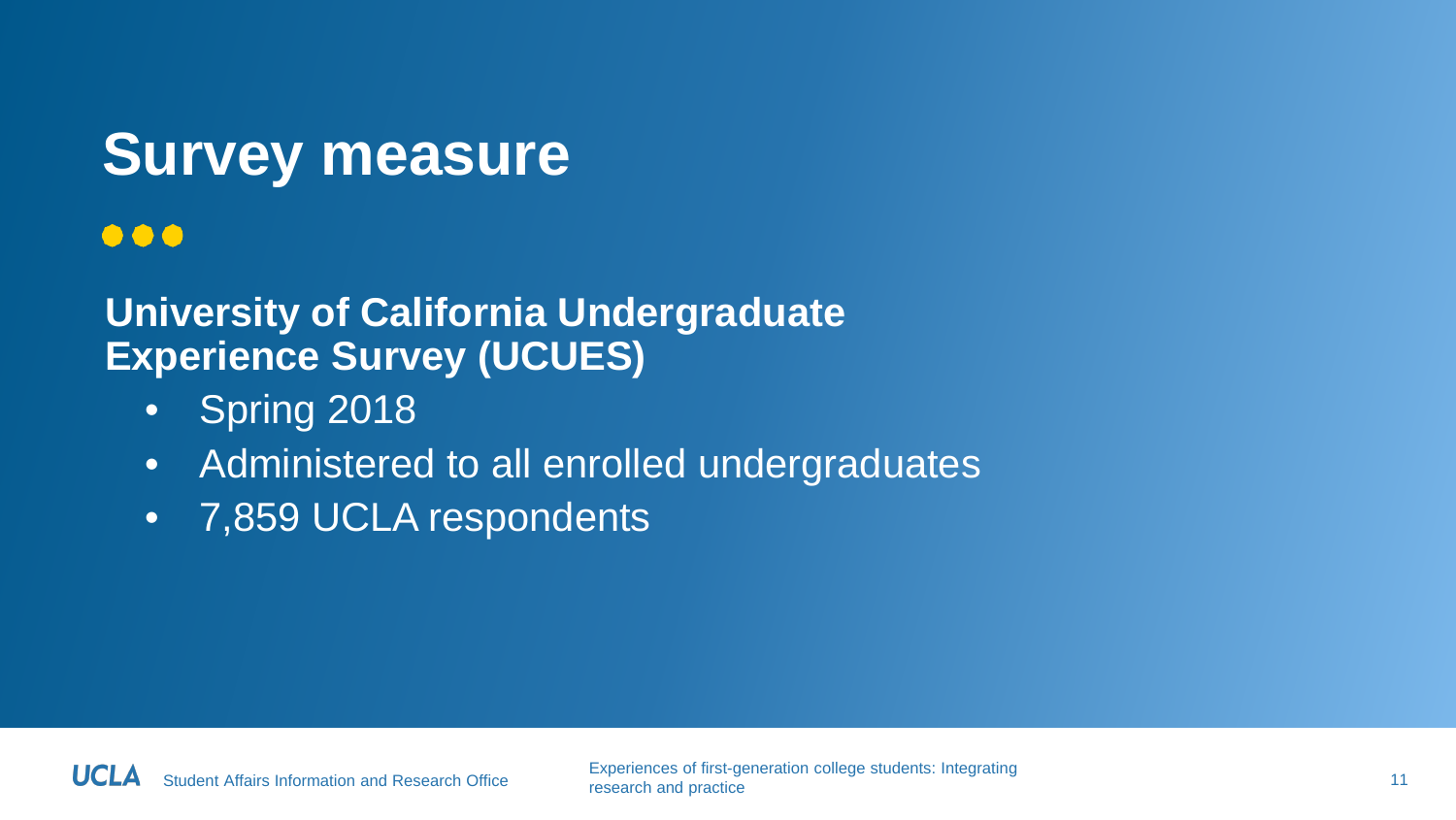### **Survey measure**

#### $\bullet\bullet\bullet$

#### **University of California Undergraduate Experience Survey (UCUES)**

- Spring 2018
- Administered to all enrolled undergraduates
- 7,859 UCLA respondents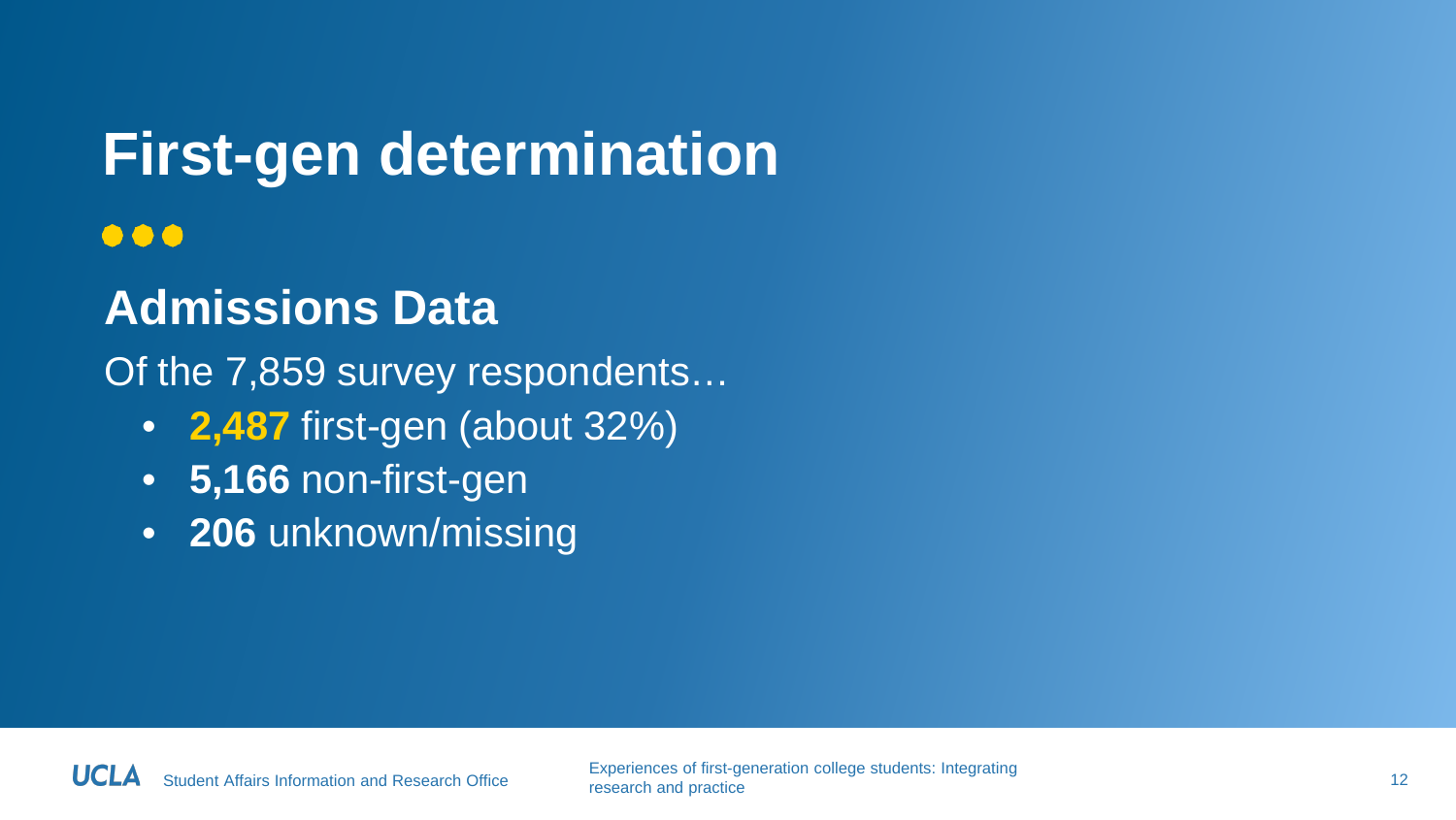#### **First-gen determination**  $\bullet\bullet\bullet$

#### **Admissions Data**

Of the 7,859 survey respondents…

- **2,487** first-gen (about 32%)
- **5,166** non-first-gen
- **206** unknown/missing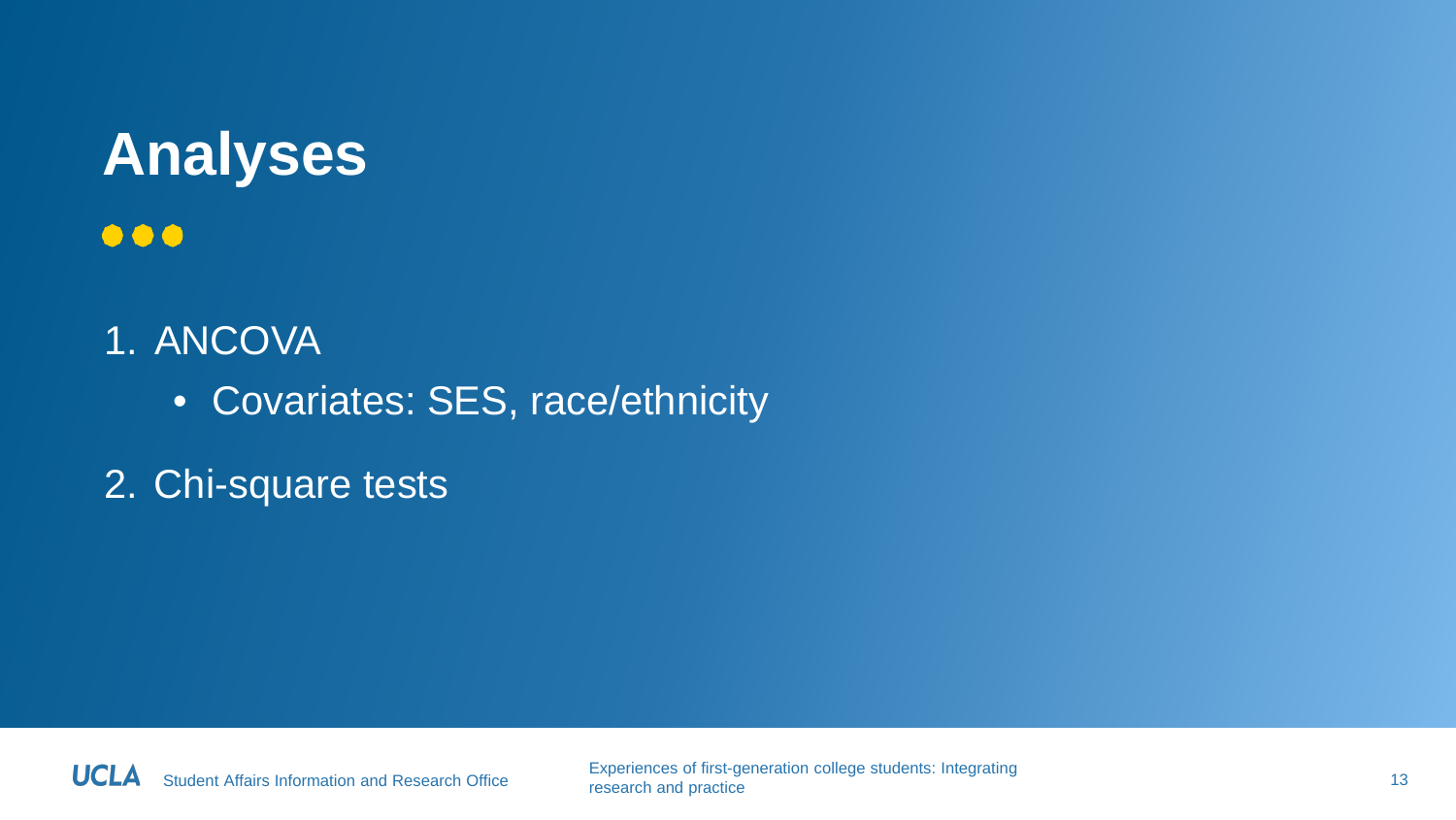### **Analyses**  $\bullet\bullet\bullet$

- 1. ANCOVA
	- Covariates: SES, race/ethnicity
- 2. Chi-square tests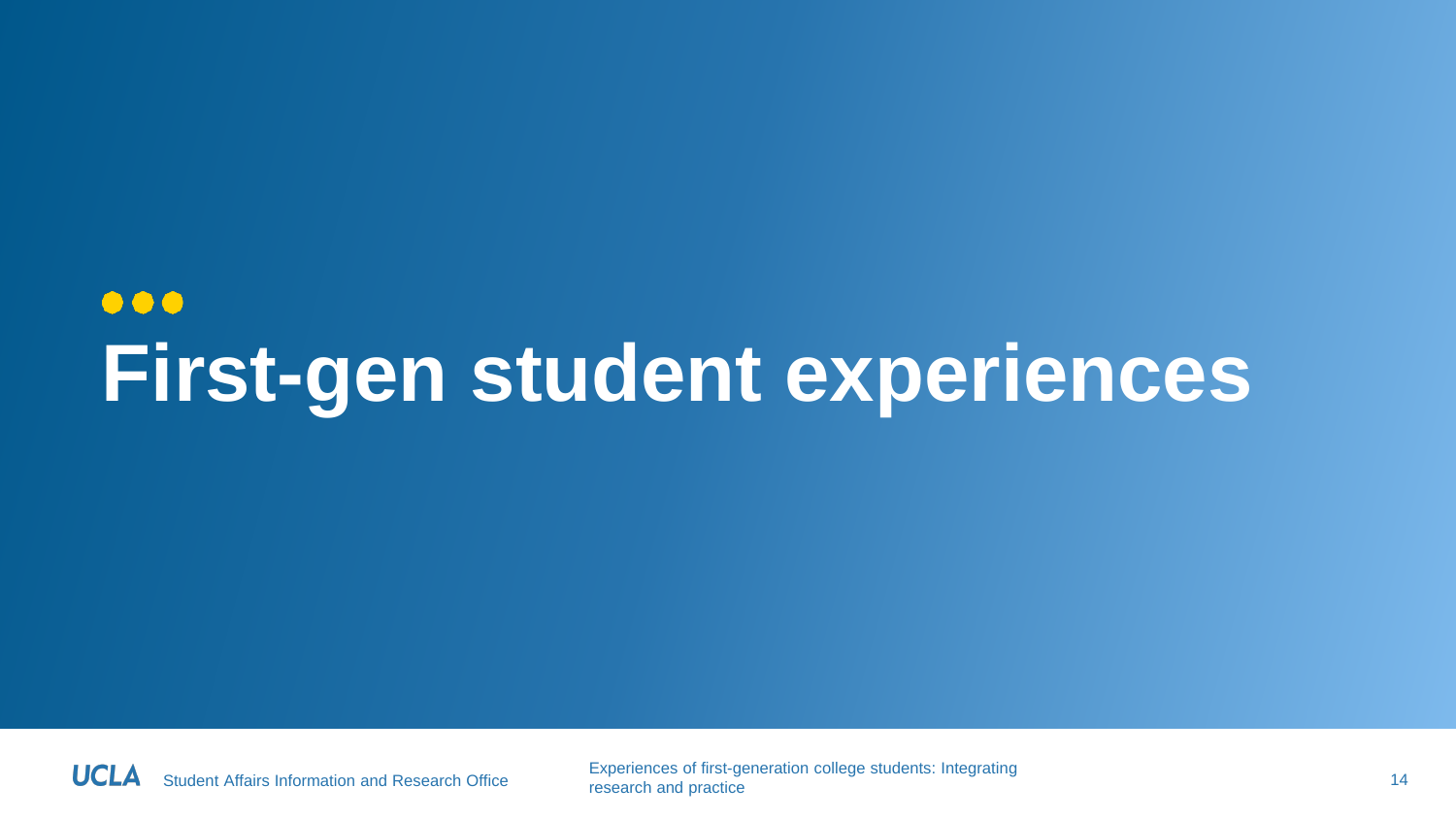### $\bullet\bullet\bullet$ **First-gen student experiences**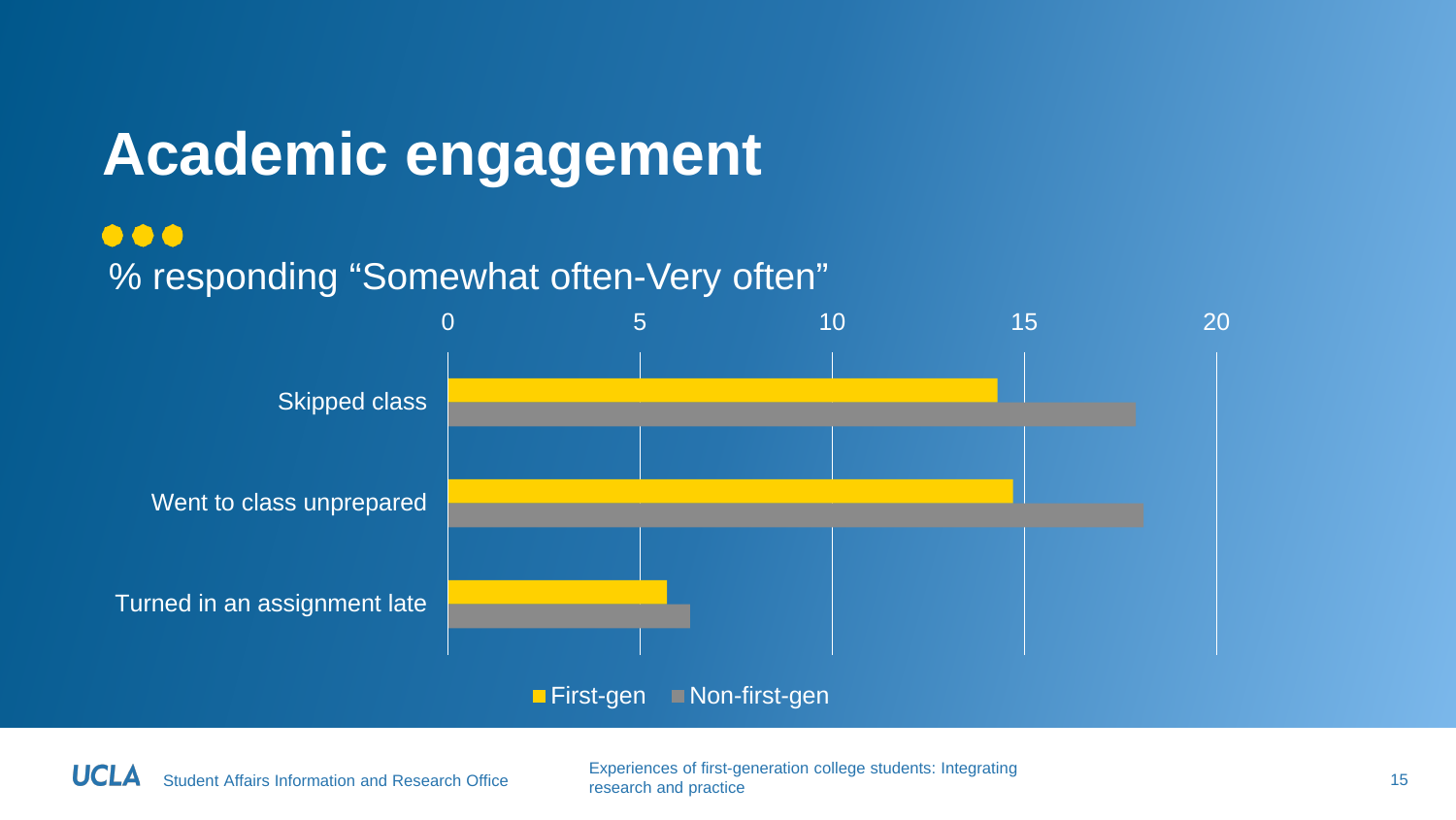### **Academic engagement**

#### $\bullet\bullet\bullet$

#### % responding "Somewhat often-Very often"



**First-gen** Non-first-gen

Student Affairs Information and Research Office Experiences of first-generation college students: Integrating research and practice 15 non-transfer states in the state in the state of the state 15 non-transfer states 15 non-transfer states 15 non-transfer states 15 non-transfer states 15 non-transfer states 15 non-transfer states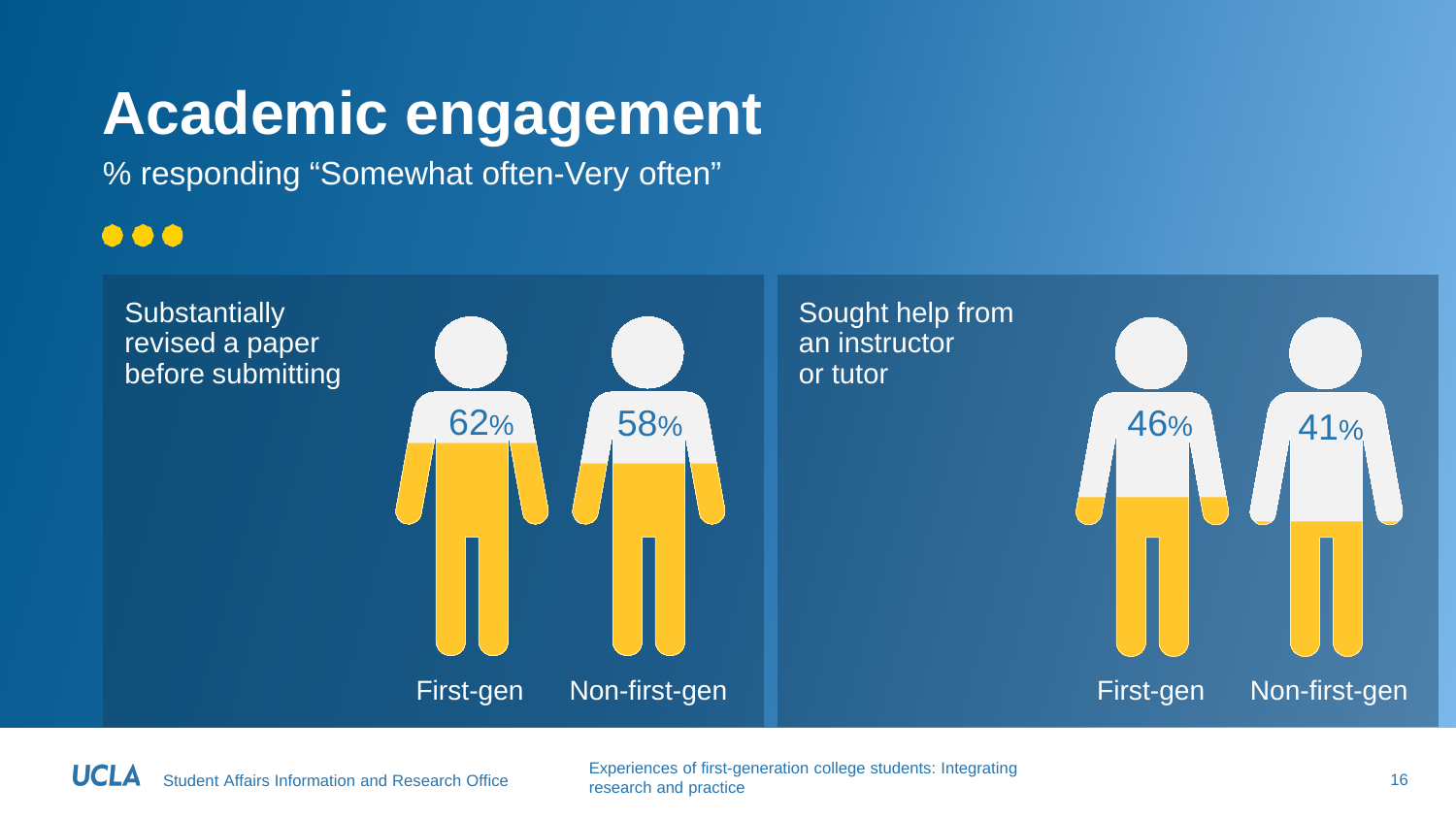### **Academic engagement**

% responding "Somewhat often-Very often"

#### $\bullet\bullet\bullet$



Student Affairs Information and Research Office Experiences of first-generation college students: Integrating research and practice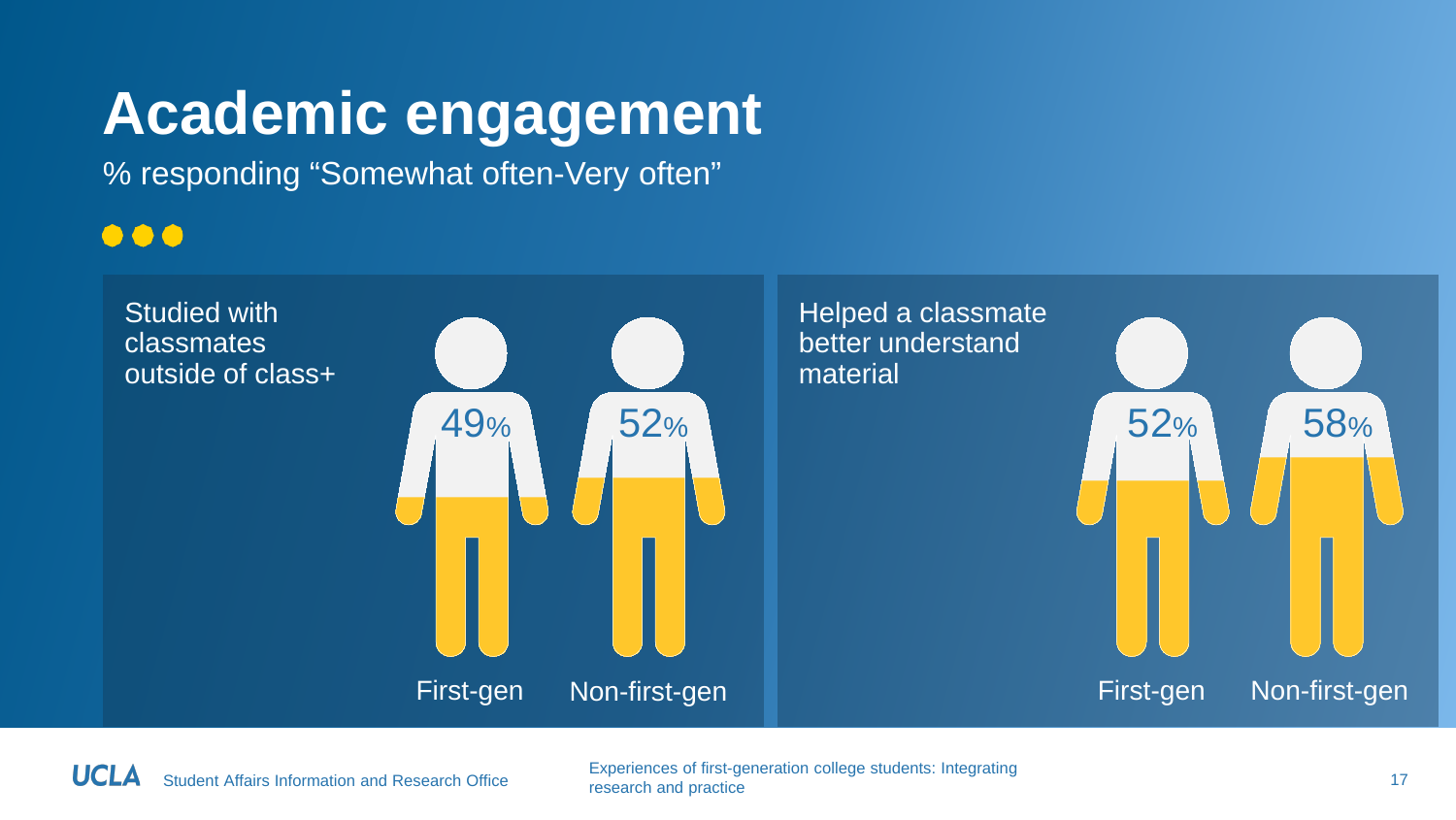### **Academic engagement**

% responding "Somewhat often-Very often"

#### $\bullet\bullet\bullet$



Student Affairs Information and Research Office Experiences of first-generation college students: Integrating research and practice 17 neuron concept students. Integrating 17 network and practice 17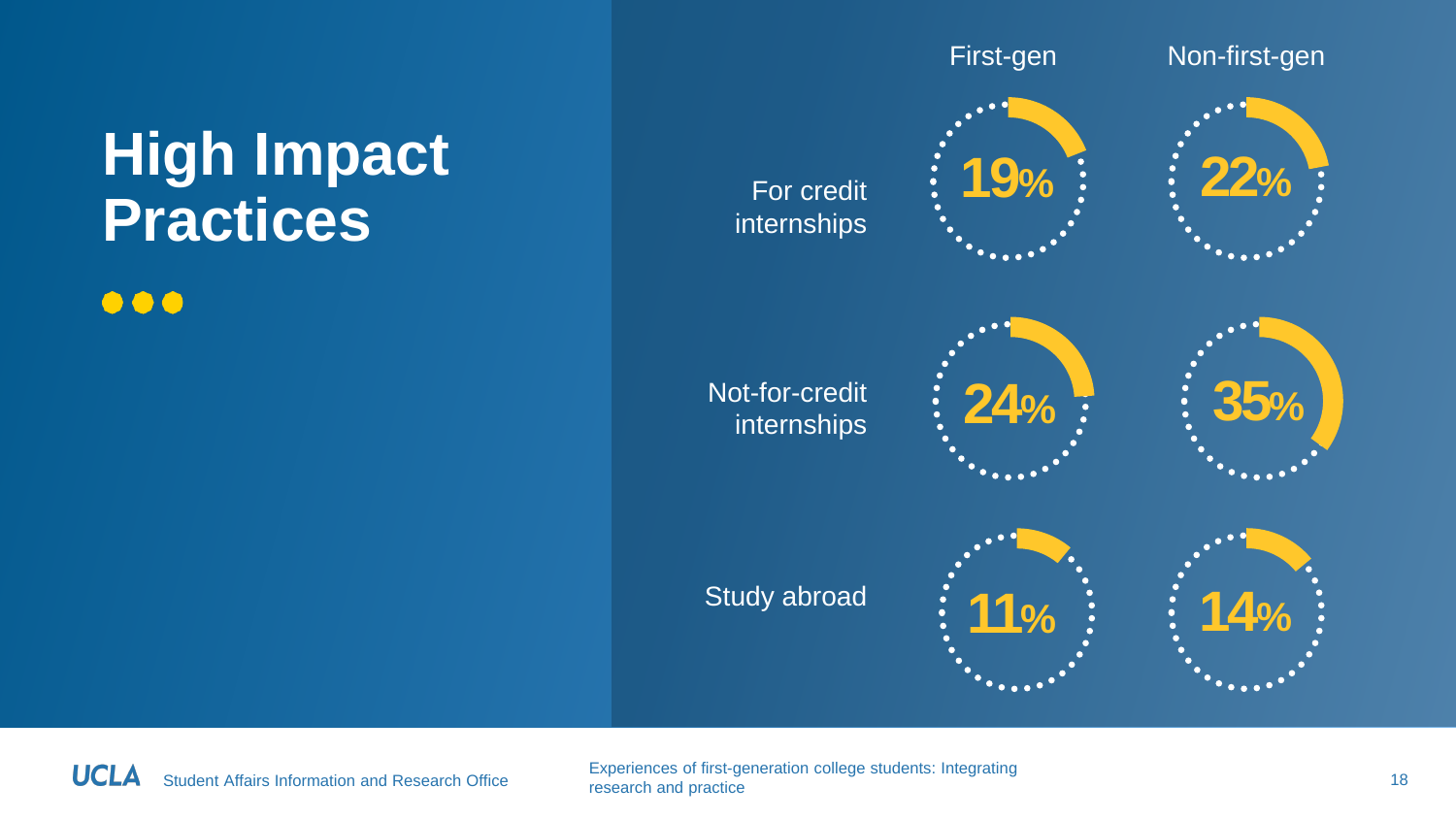# **High Impact**

 $\bullet\bullet\bullet$ 



Student Affairs Information and Research Office Experiences of first-generation college students: Integrating research and practice 18 non-temperature statements. Integrating 18 non-temperature 18 non-temperature 18 non-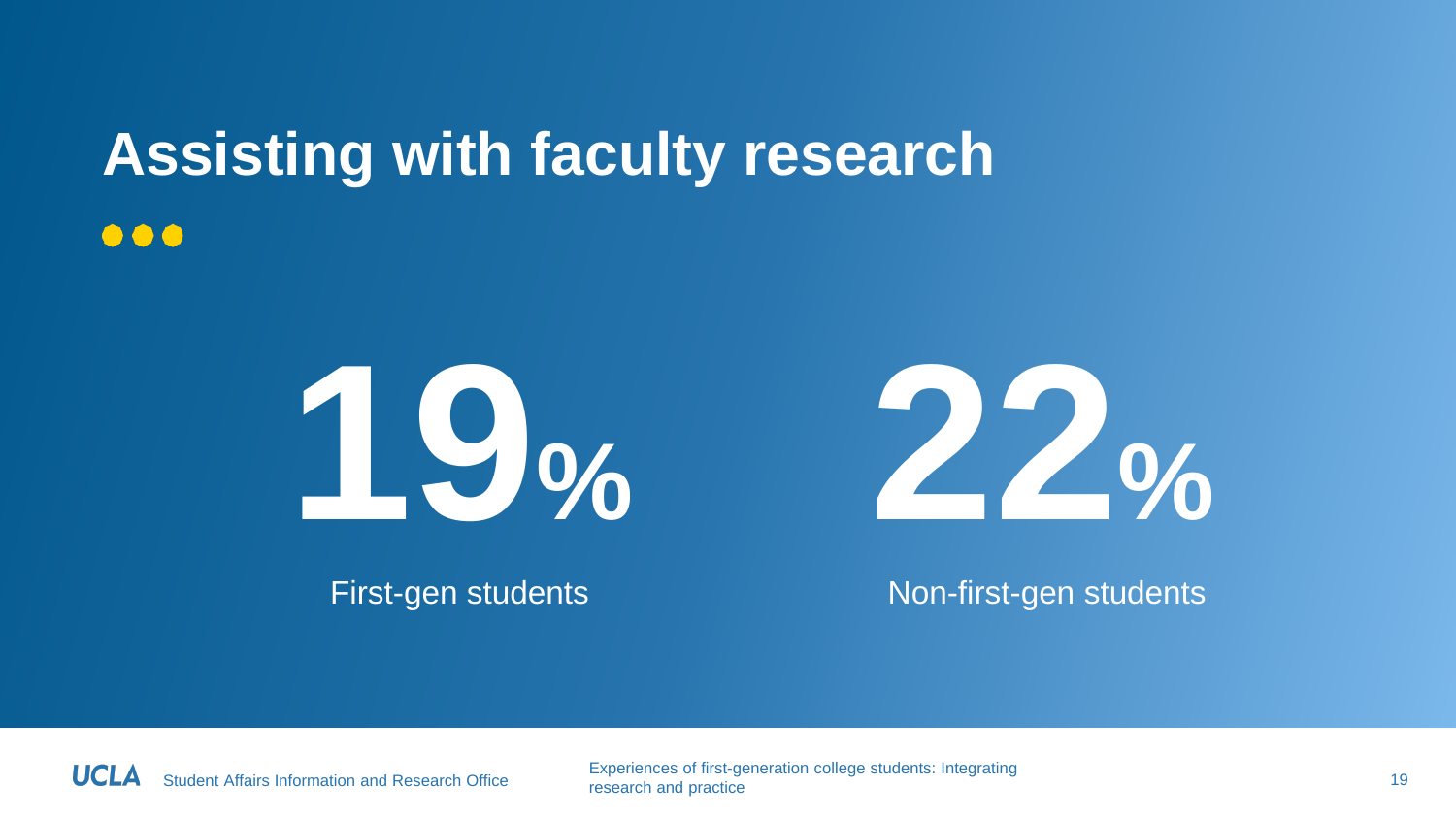#### **Assisting with faculty research**  $\bullet\bullet\bullet$





First-gen students Non-first-gen students

Student Affairs Information and Research Office Experiences of first-generation college students: Integrating research and practice 19 metric and practice 19 metrics of the present and practice 19 metrics 19 metrics 19 metrics 19 metrics 19 metrics 19 metrics 19 metrics 19 metrics 19 metrics 19 metrics 19 metrics 19 metrics 19 met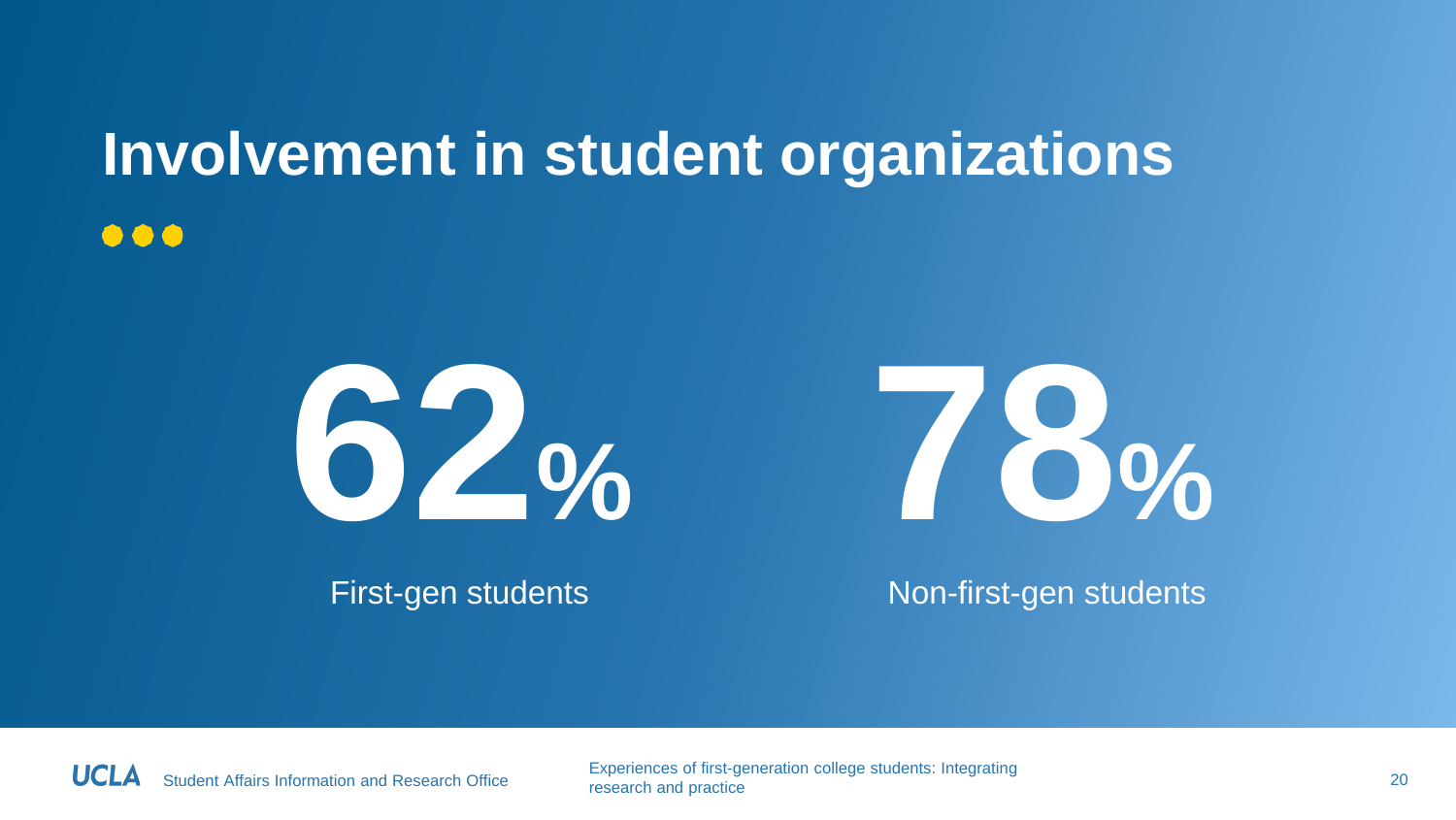#### **Involvement in student organizations**  $\bullet\bullet\bullet$





First-gen students Non-first-gen students

 $\overline{\phantom{a}}$ 

Student Affairs Information and Research Office Experiences of first-generation college students: Integrating research and practice 20 methods of the present and practice 20 methods of the control of the control of the control of the control of the control of the control of the control of the control of the control of the control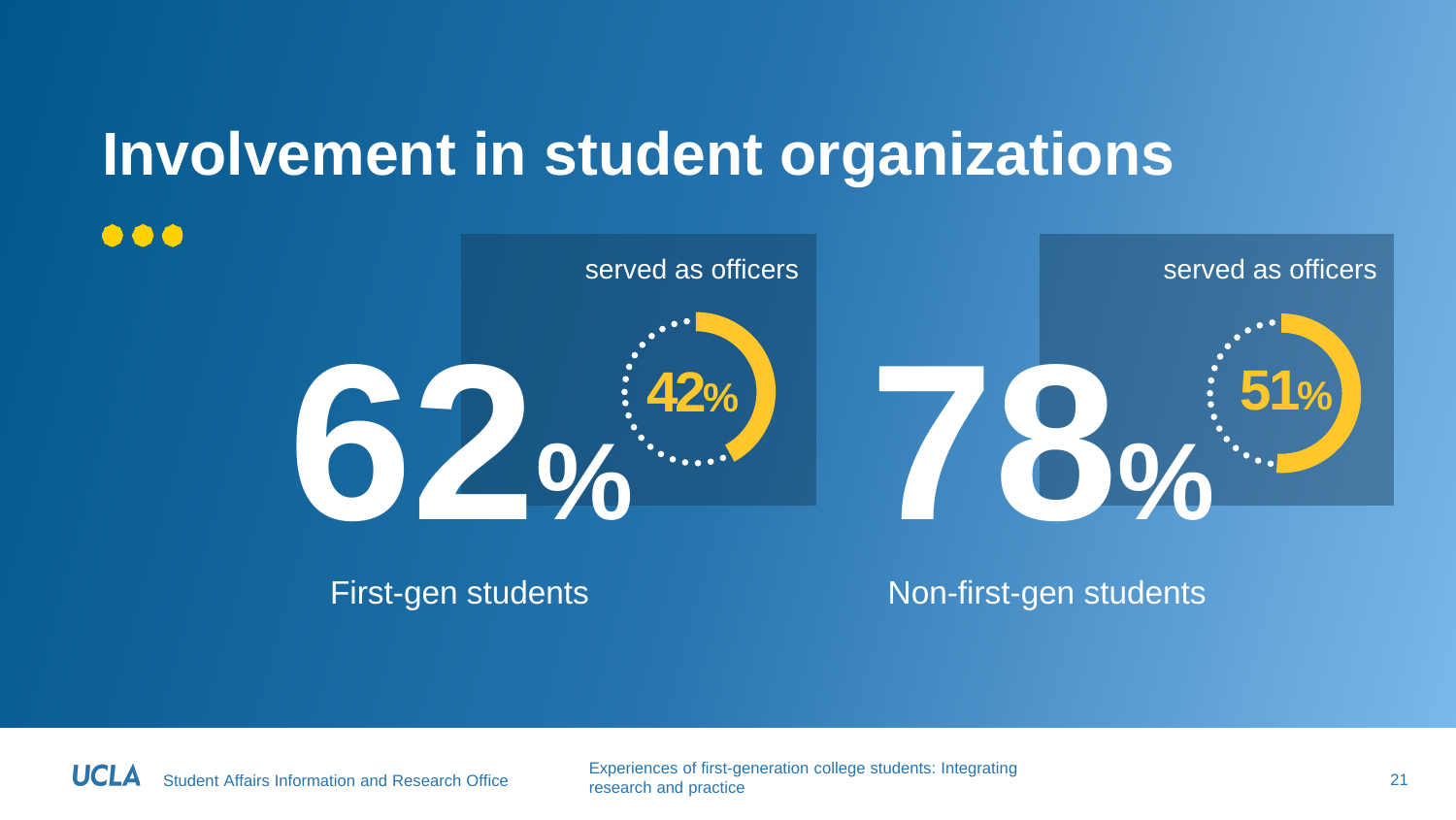### **Involvement in student organizations**



First-gen students

Non-first-gen students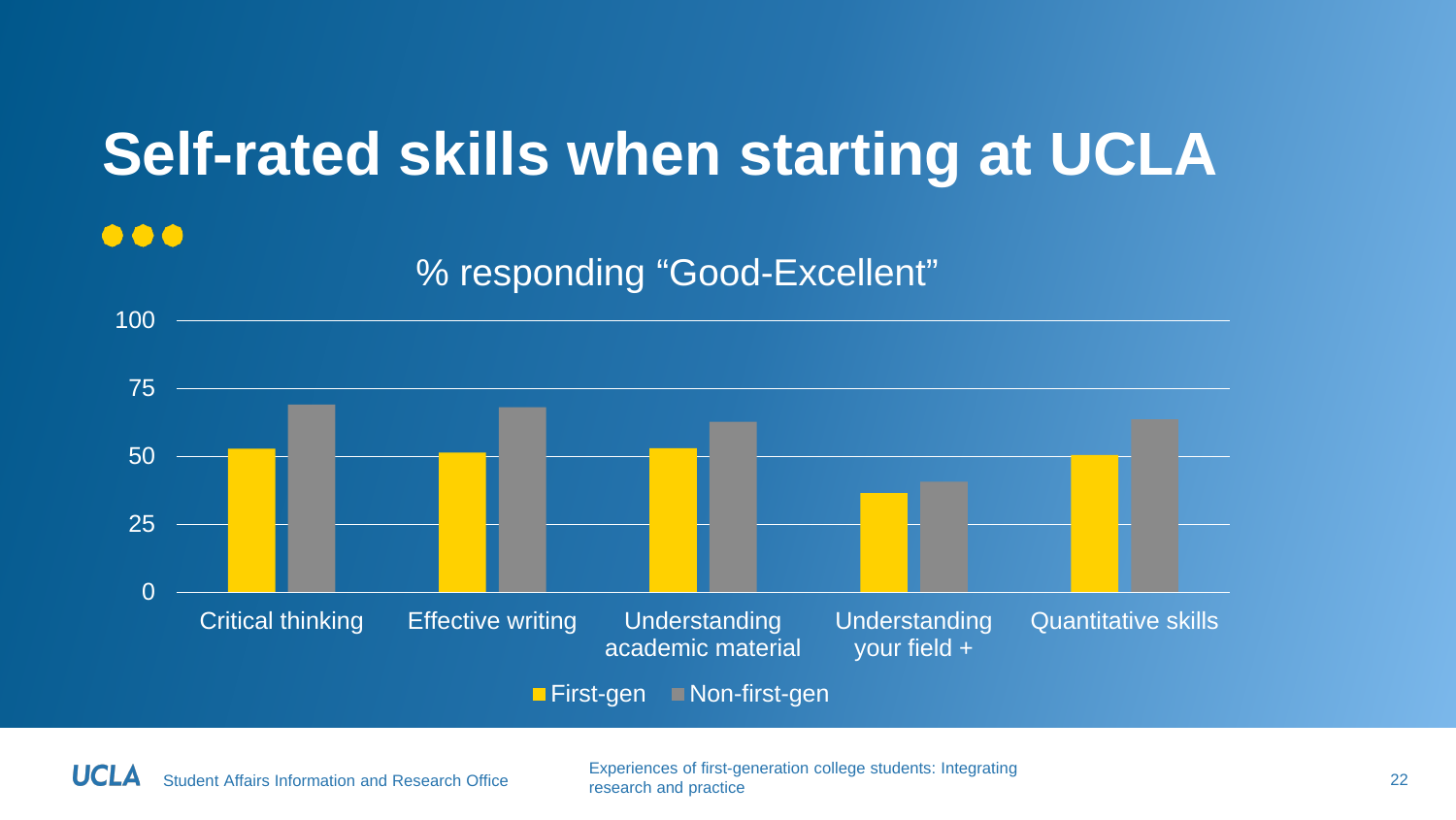### **Self-rated skills when starting at UCLA**

#### $\bullet\bullet\bullet$

#### % responding "Good-Excellent"



Student Affairs Information and Research Office Experiences of first-generation college students: Integrating research and practice 22<br>research and practice 22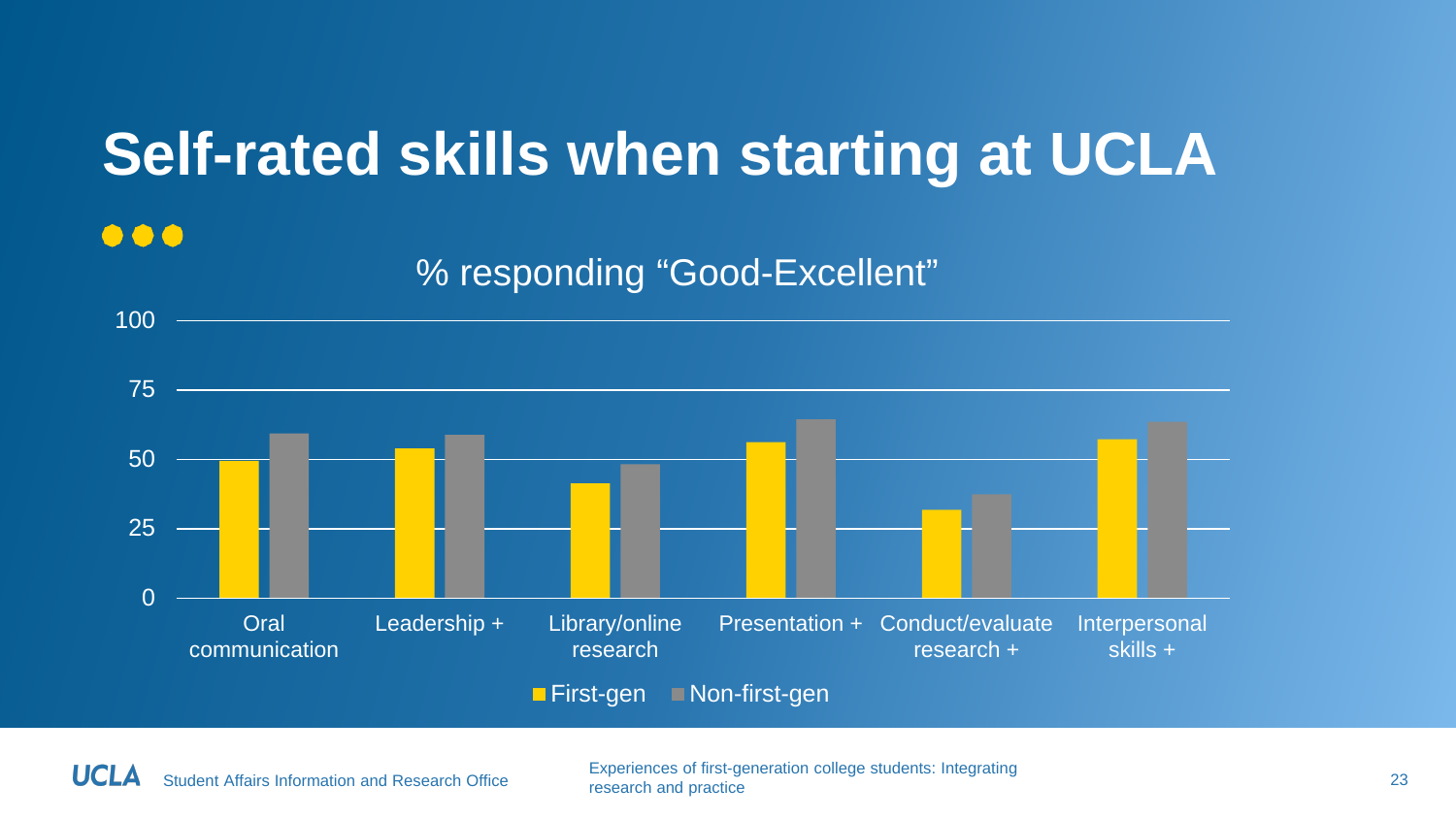### **Self-rated skills when starting at UCLA**

#### $\bullet\bullet\bullet$

#### % responding "Good-Excellent"



Student Affairs Information and Research Office Experiences of first-generation college students: Integrating research and practice 23<br>research and practice 23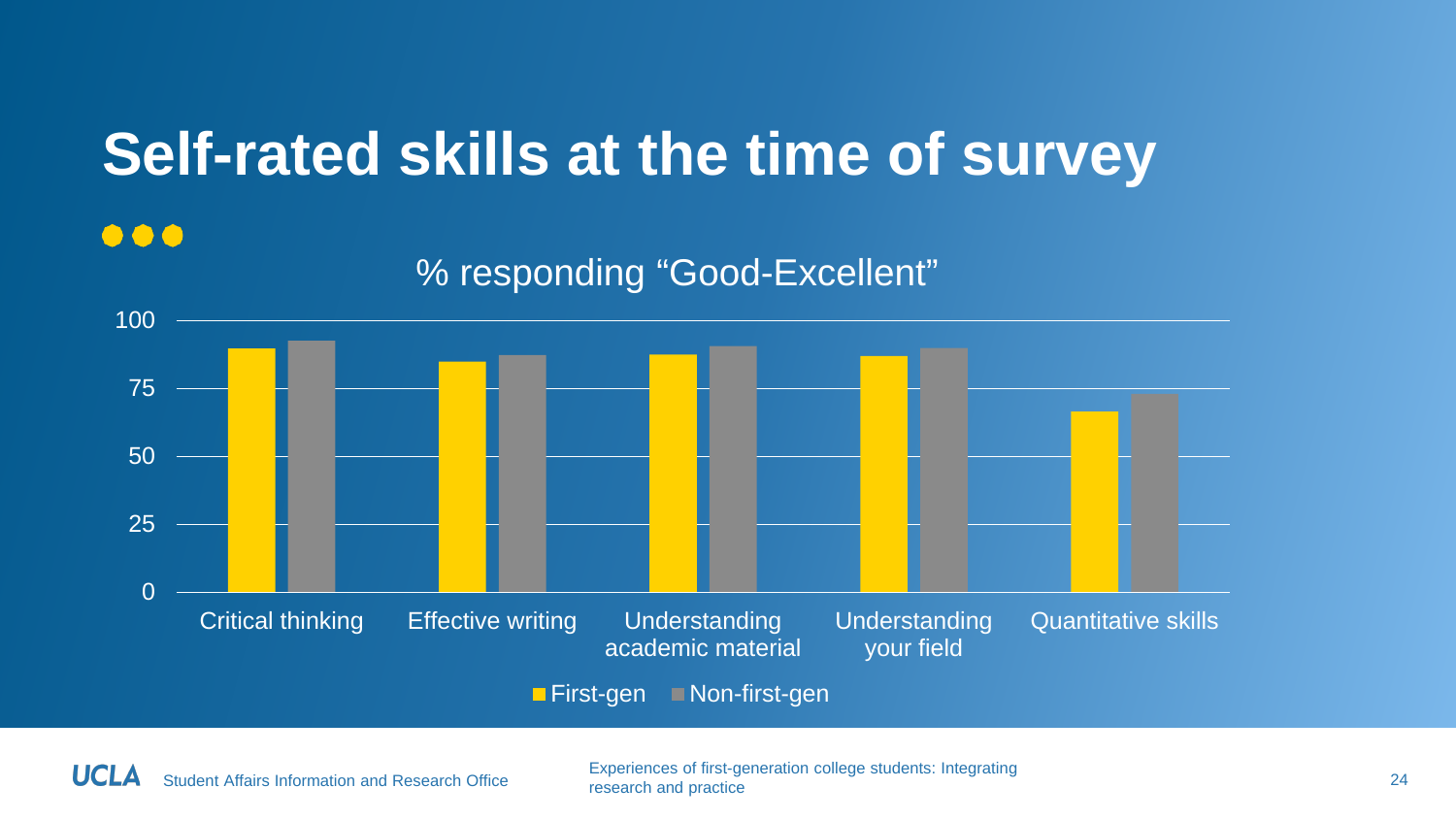### **Self-rated skills at the time of survey**

#### $\bullet\bullet\bullet$



% responding "Good-Excellent"

Student Affairs Information and Research Office Experiences of first-generation college students: Integrating research and practice 24<br>research and practice 24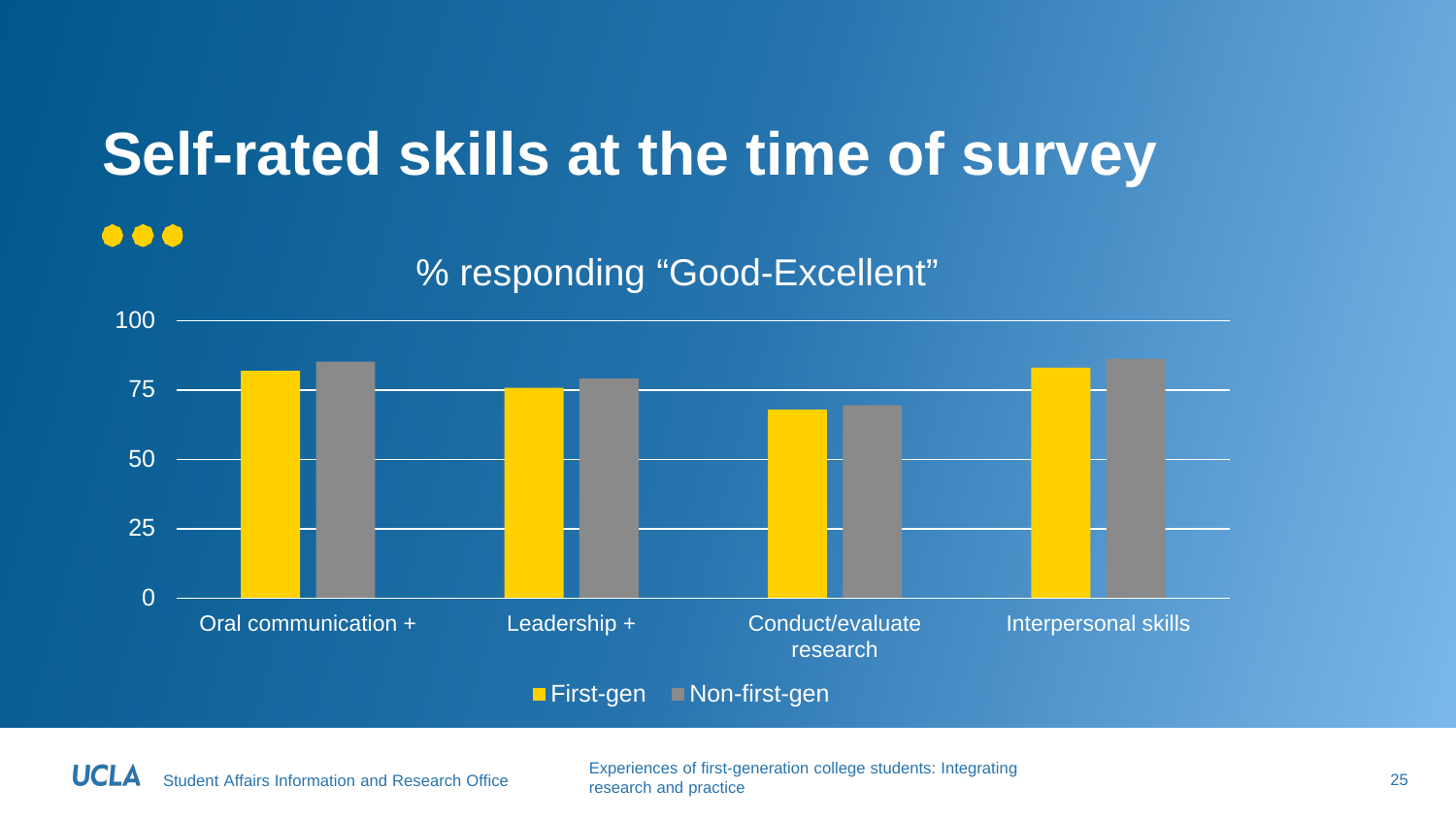### **Self-rated skills at the time of survey**

#### 000

#### % responding "Good-Excellent"



**First-gen** Non-first-gen

Student Affairs Information and Research Office Experiences of first-generation college students: Integrating research and practice 25 network concept students. Integrating 25 network and practice 25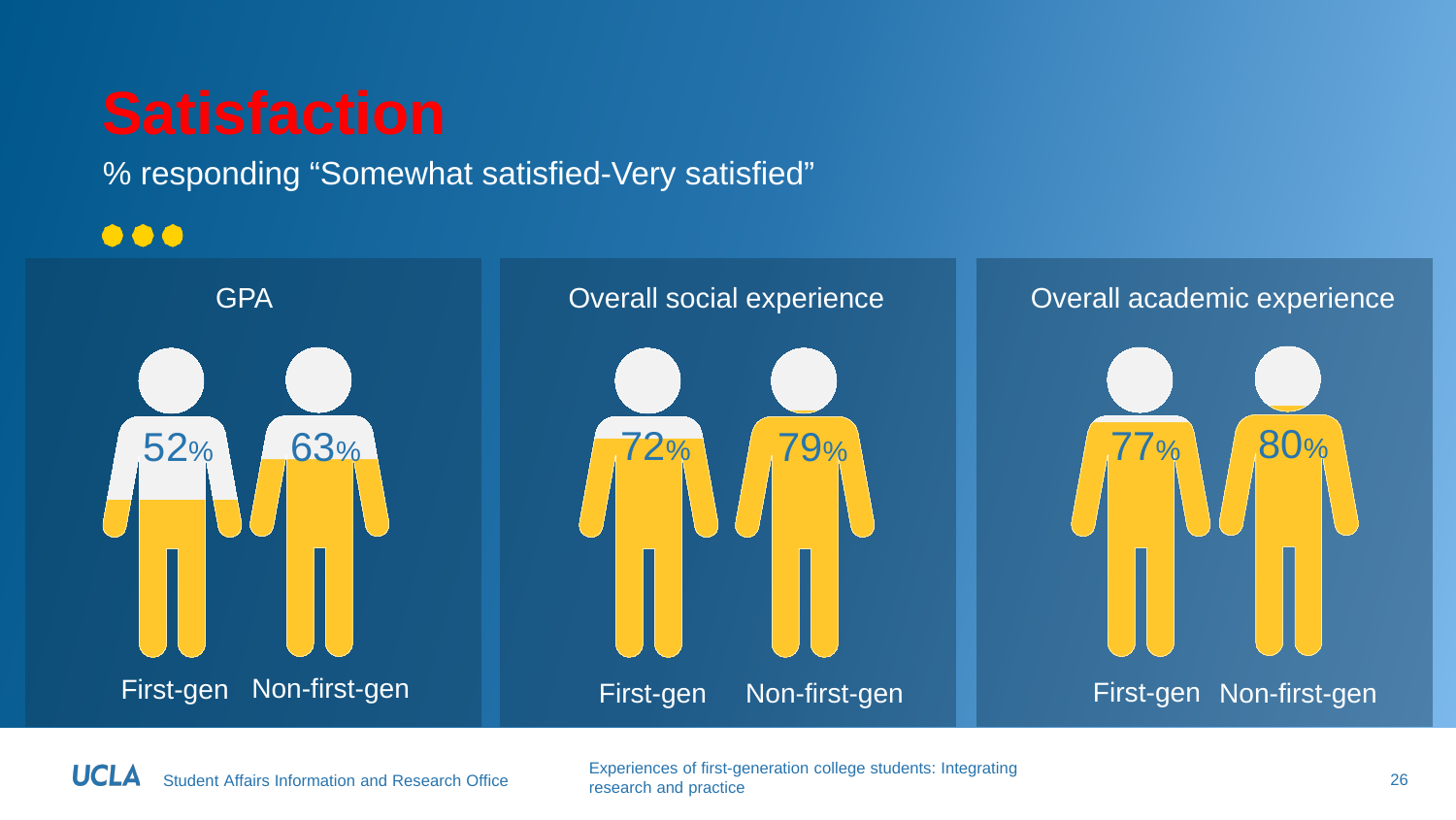% responding "Somewhat satisfied-Very satisfied"

 $\bullet\bullet\bullet$ 



Student Affairs Information and Research Office Experiences of first-generation college students: Integrating research and practice 26<br>research and practice 26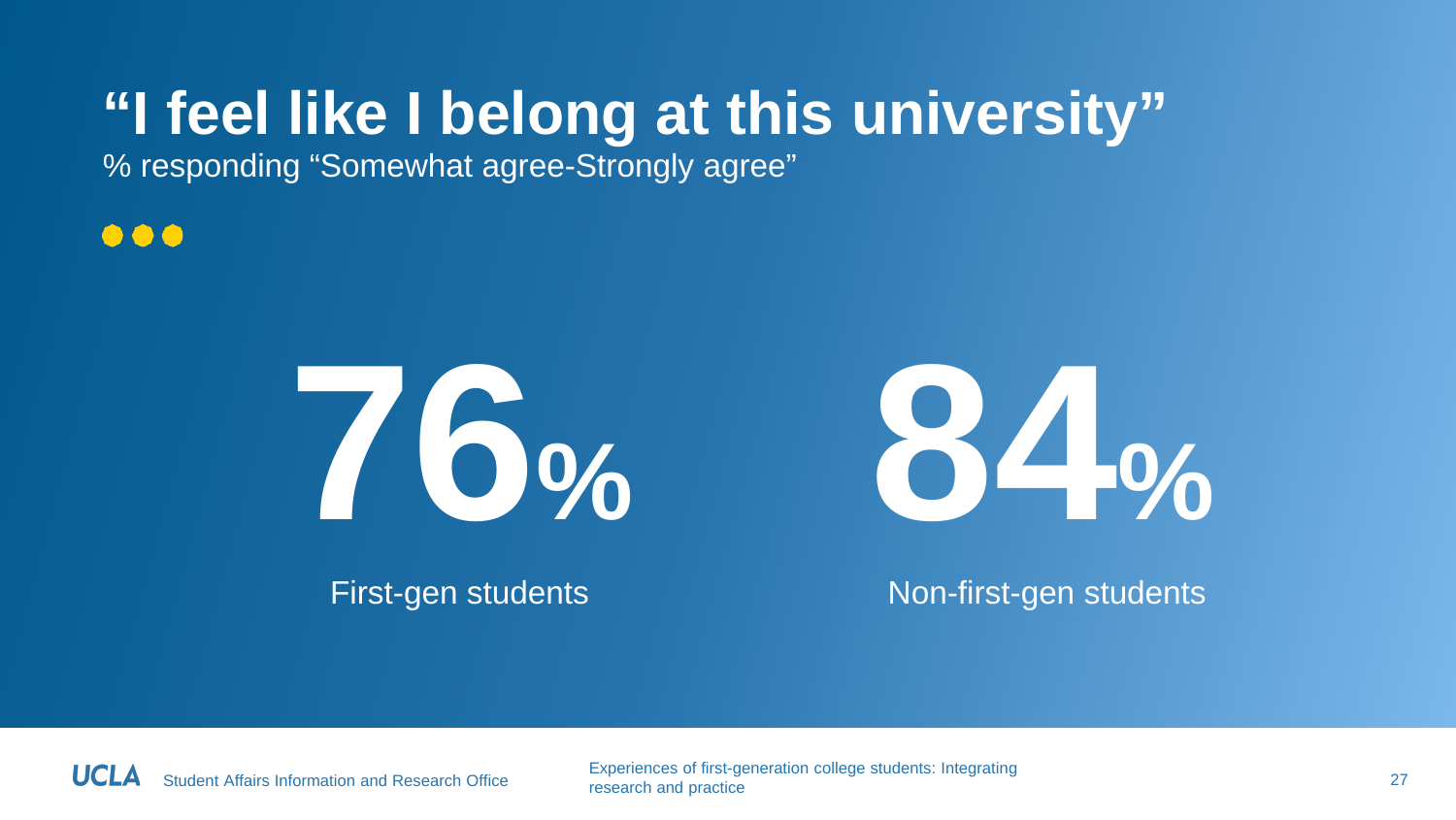### **"I feel like I belong at this university"**

% responding "Somewhat agree-Strongly agree"

...





First-gen students Non-first-gen students

HCI

Student Affairs Information and Research Office Experiences of first-generation college students: Integrating research and practice 27<br>research and practice 27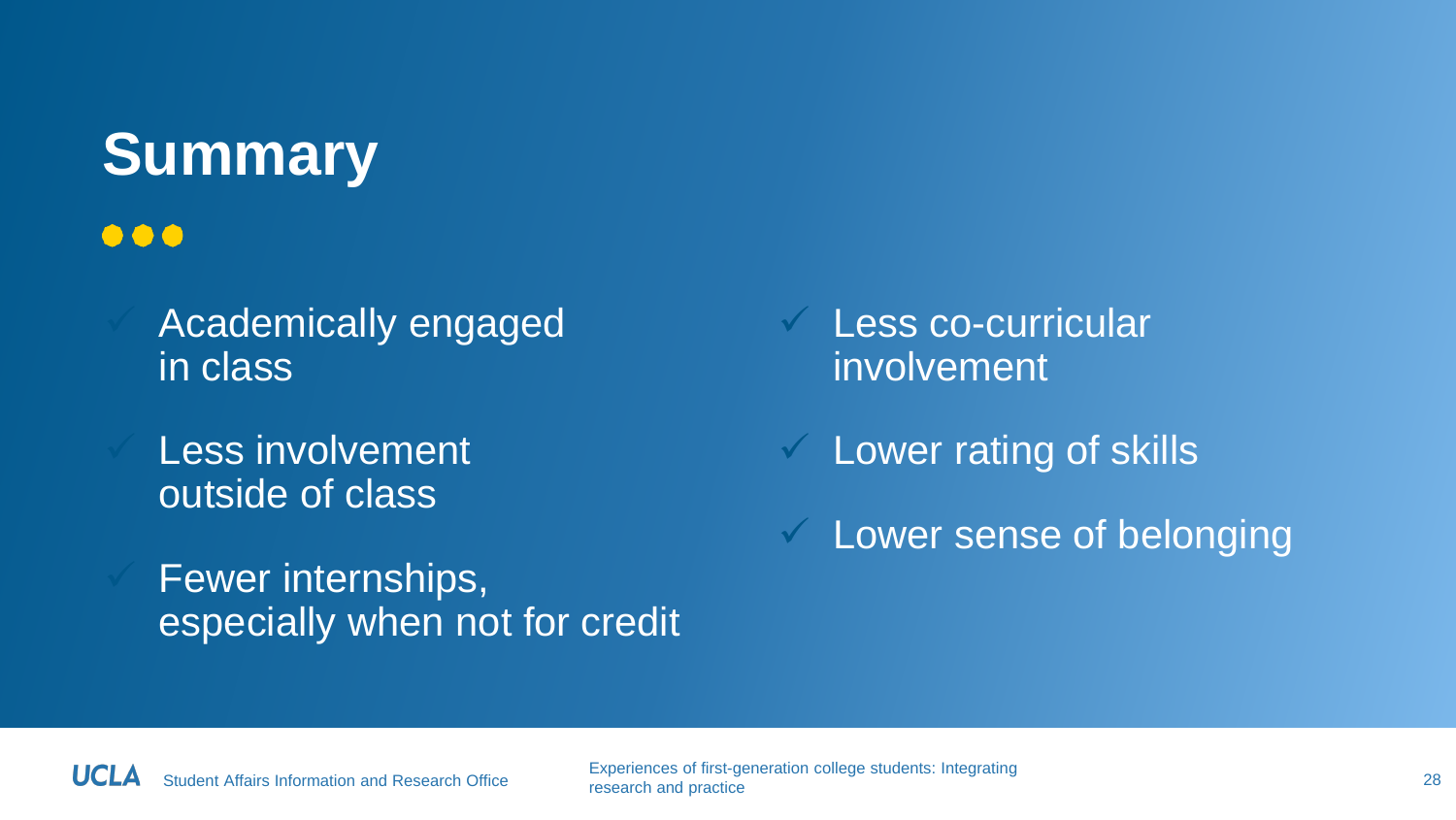### **Summary**

#### $\bullet\bullet\bullet$

- Academically engaged in class
- Less involvement outside of class
- Fewer internships, especially when not for credit
- $\vee$  Less co-curricular involvement
- $\checkmark$  Lower rating of skills
- $\checkmark$  Lower sense of belonging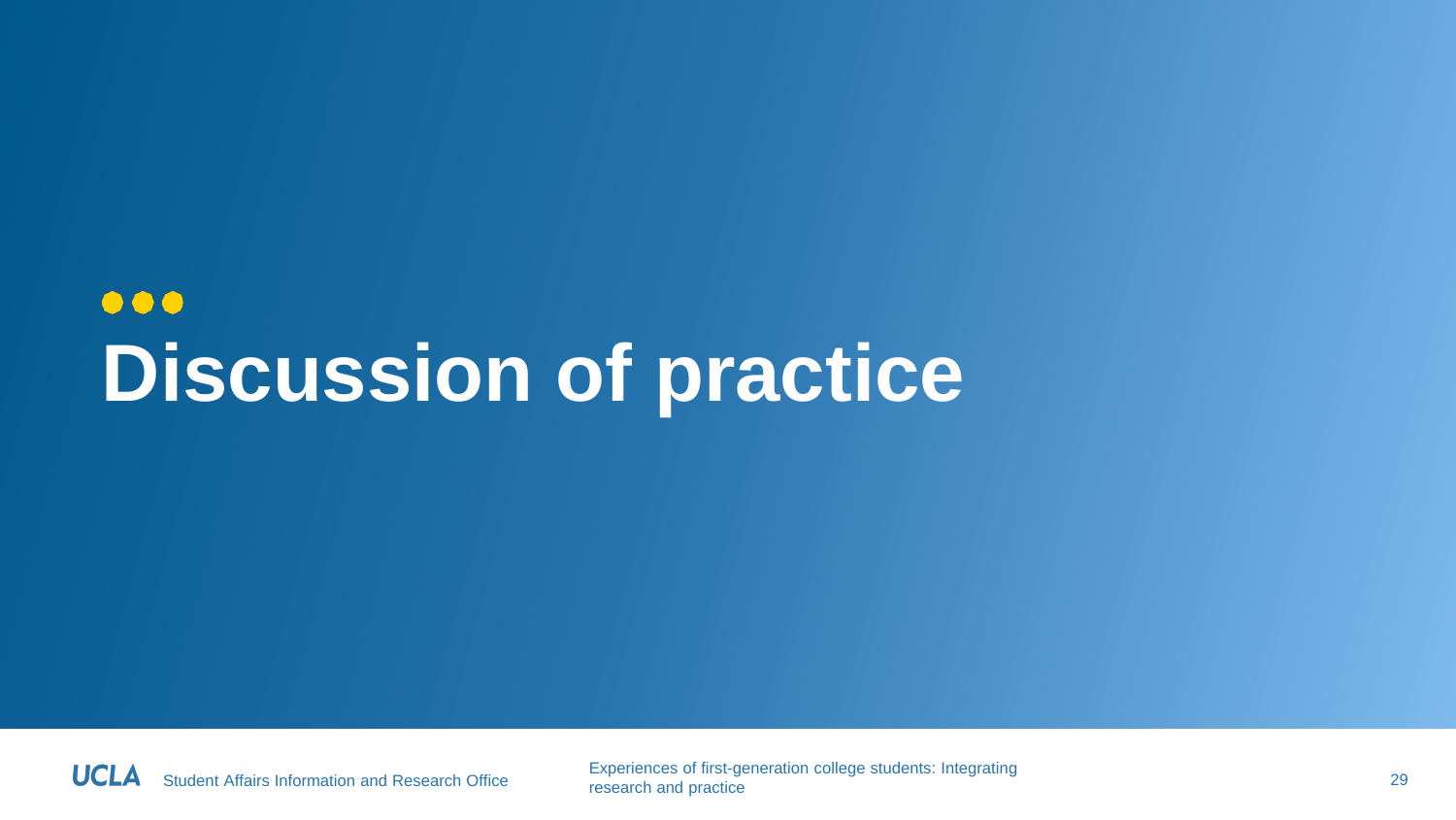### $\bullet\bullet\bullet$ **Discussion of practice**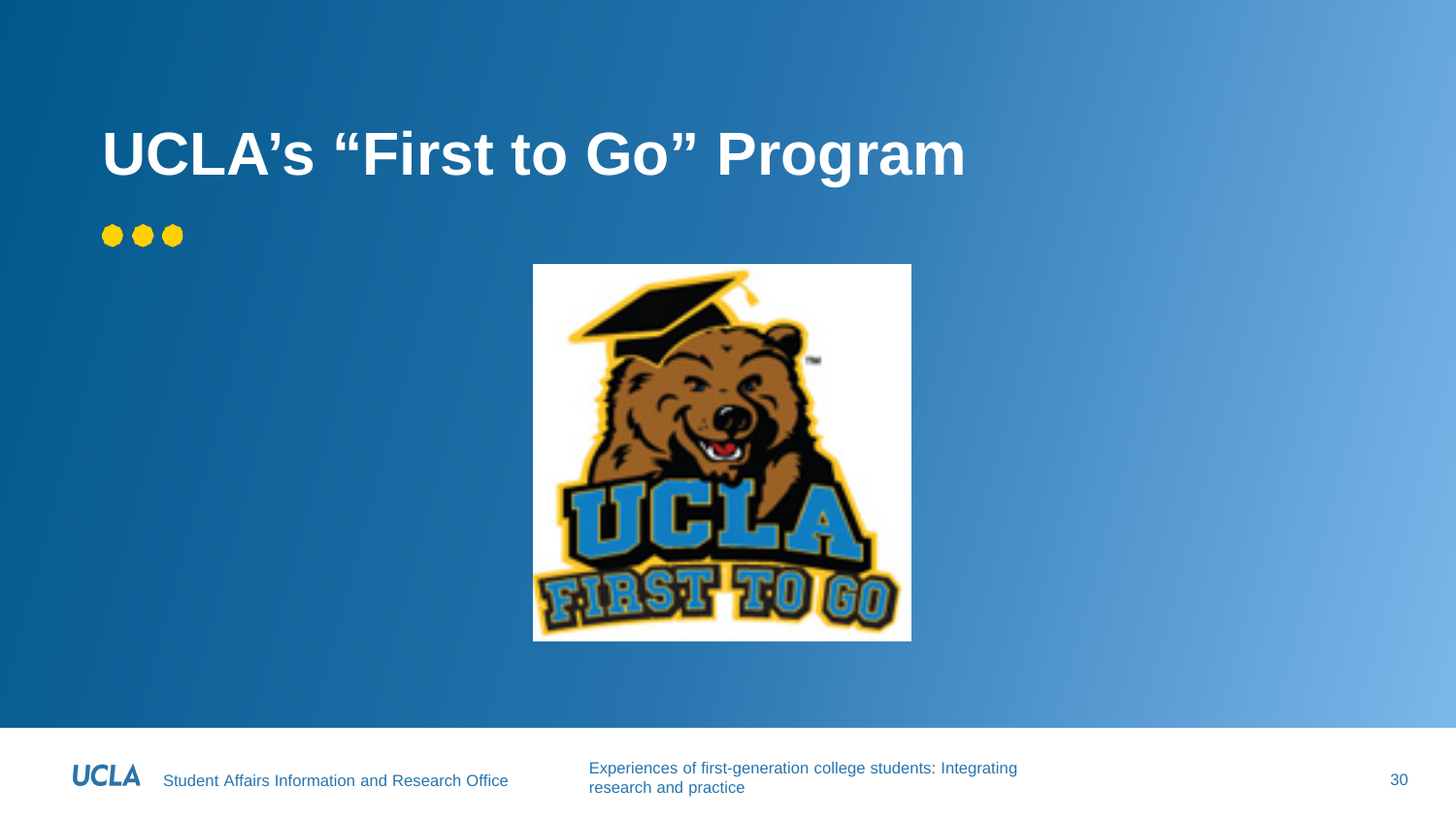# **UCLA's "First to Go" Program**

#### $\bullet\bullet\bullet$



**UCLA** 

Student Affairs Information and Research Office Experiences of first-generation college students: Integrating research and practice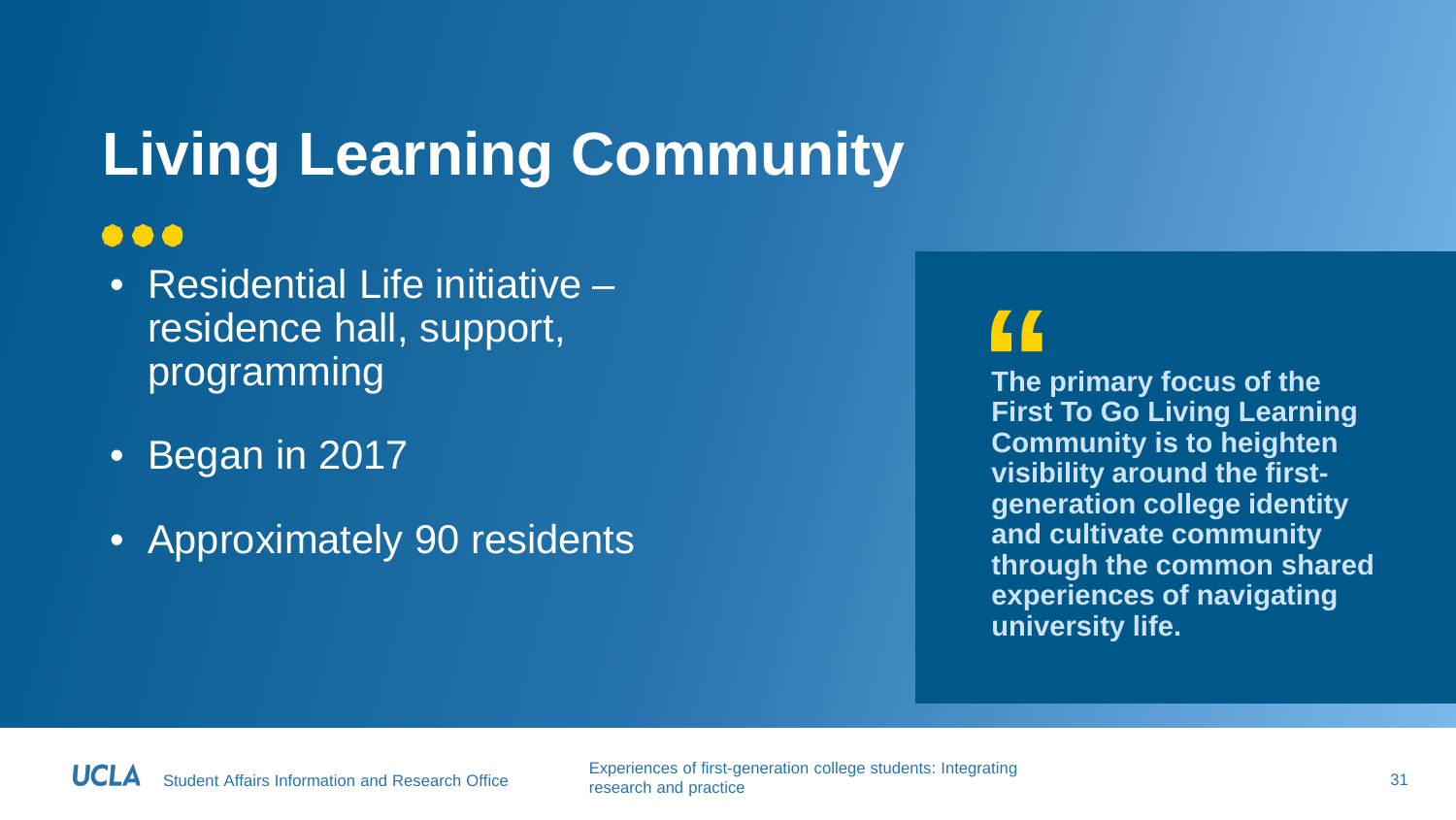### **Living Learning Community**

#### $\bullet\bullet\bullet$

- Residential Life initiative residence hall, support, programming
- Began in 2017
- Approximately 90 residents

#### **"**

**The primary focus of the First To Go Living Learning Community is to heighten visibility around the firstgeneration college identity and cultivate community through the common shared experiences of navigating university life.**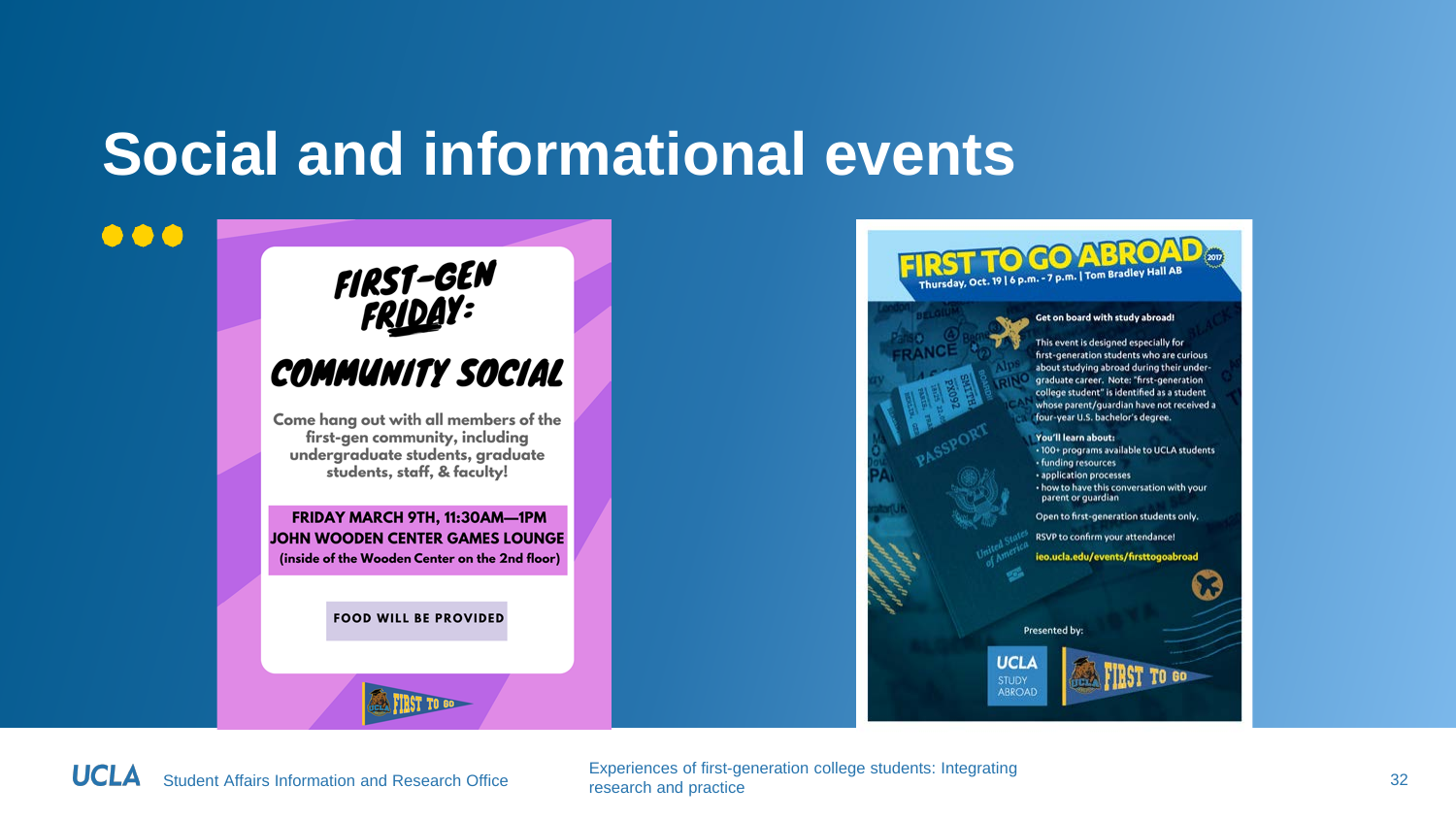### **Social and informational events**

## FIRST-GEN<br>FR<u>IDA</u>Y: **COMMUNITY SOCIAL**

Come hang out with all members of the first-gen community, including undergraduate students, graduate students, staff, & faculty!

FRIDAY MARCH 9TH, 11:30AM-1PM JOHN WOODEN CENTER GAMES LOUNGE (inside of the Wooden Center on the 2nd floor)

**FOOD WILL BE PROVIDED** 

**TRST TO GO-**

#### **TO GO ABRO** Thursday, Oct. 19 | 6 p.m. - 7 p.m. | Tom Bradley Hall AB

#### Get on board with study abroad!

This event is designed especially for first-generation students who are curious about studying abroad during their underoraduate career. Note: "first-generation college student" is identified as a student whose parent/quardian have not received a four-year U.S. bachelor's degree.

#### You'll learn about:

. 100+ programs available to UCLA students · funding resources · application processes • how to have this conversation with your parent or quardian

Open to first-generation students only.

RSVP to confirm your attendance!

ieo.ucla.edu/events/firsttogoabroad

Presented by

**UCLA ABROAD** 

 $\bullet\bullet\bullet$ 

Student Affairs Information and Research Office Experiences of first-generation college students: Integrating research and practice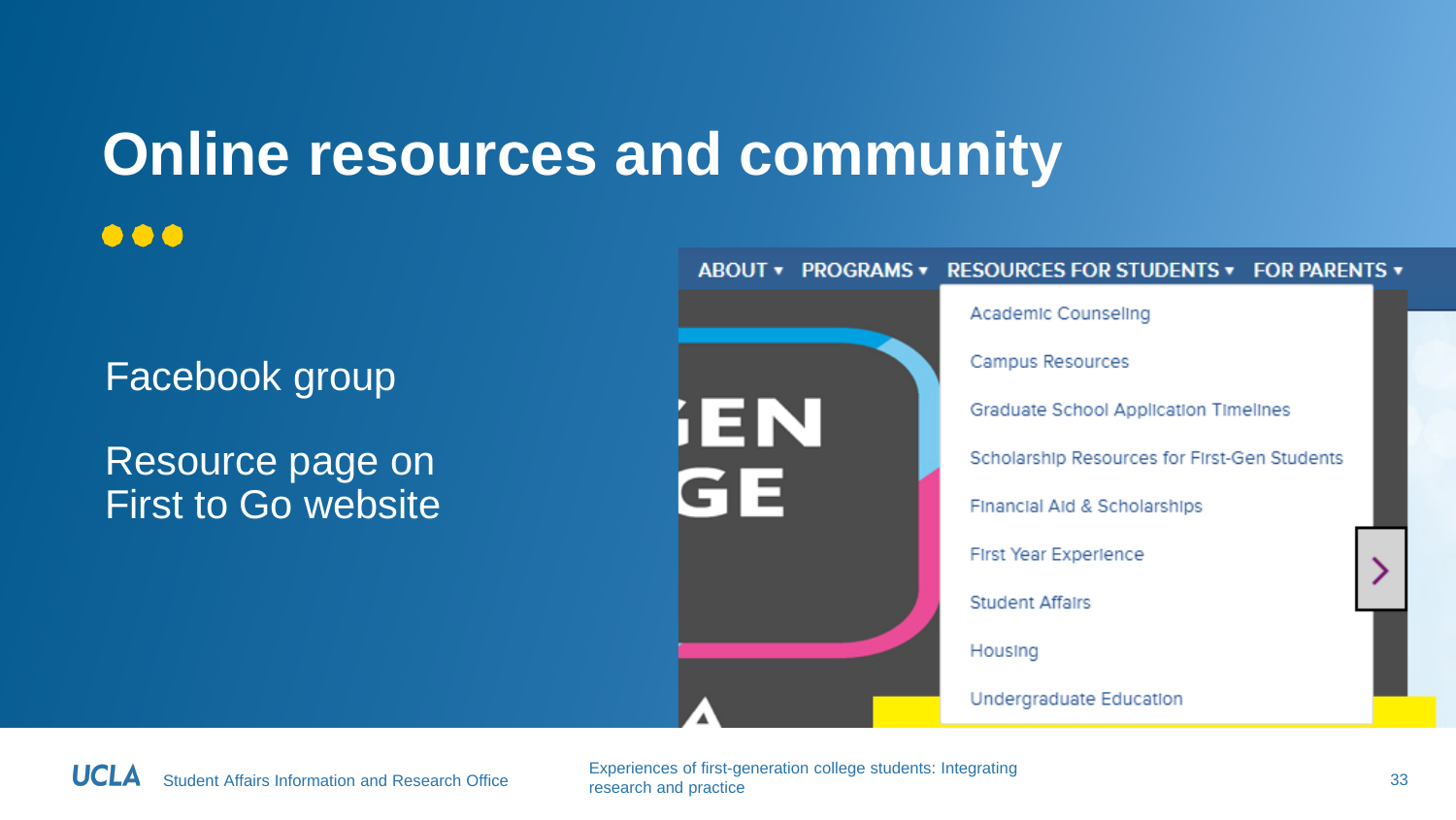### **Online resources and community**

 $\bullet\bullet\bullet$ 

Facebook group

Resource page on First to Go website



Student Affairs Information and Research Office Experiences of first-generation college students: Integrating research and practice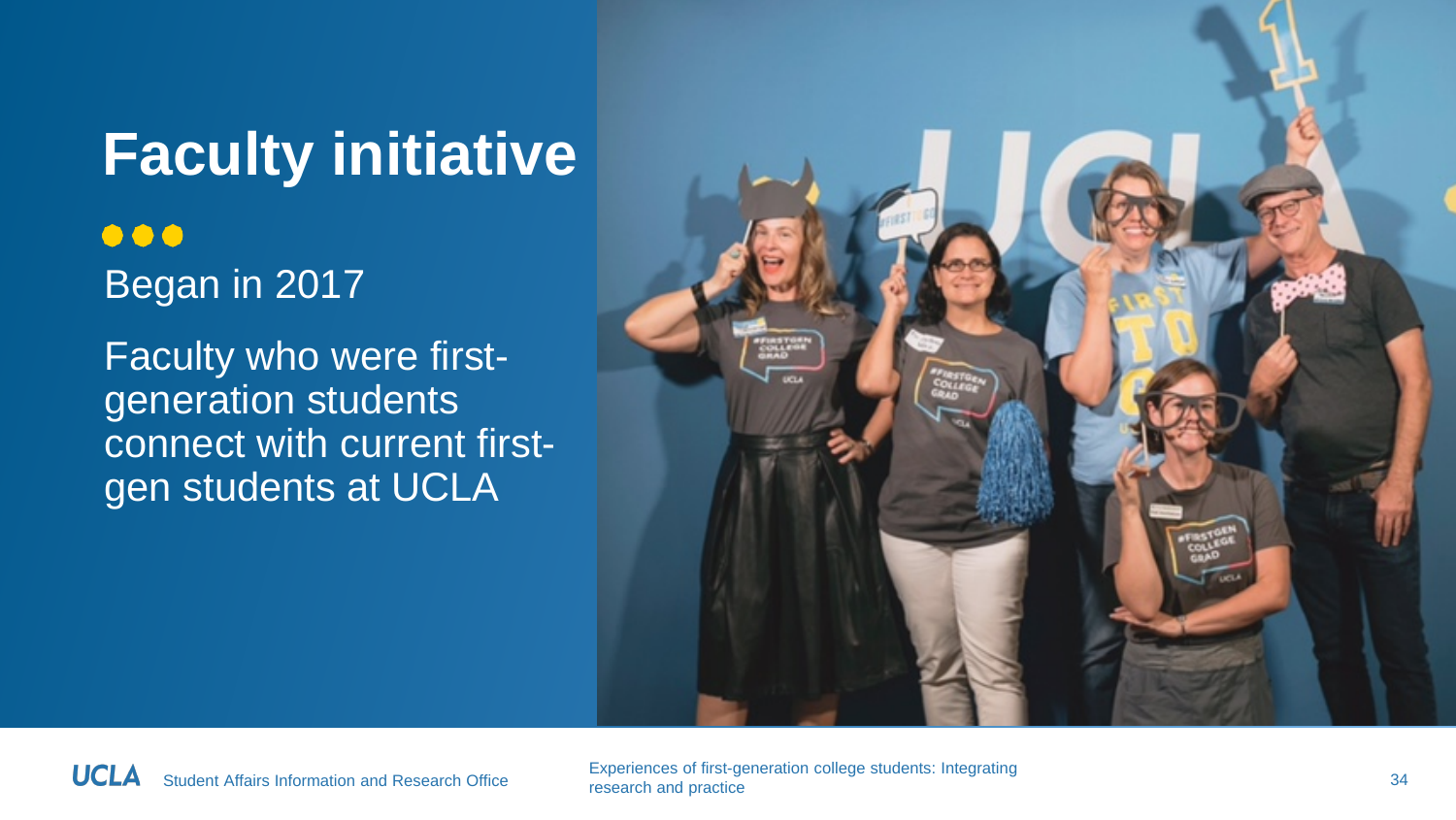**Faculty initiative**  $\bullet\bullet\bullet$ Began in 2017 Faculty who were firstgeneration students connect with current first-



gen students at UCLA

Student Affairs Information and Research Office Experiences of first-generation college students: Integrating research and practice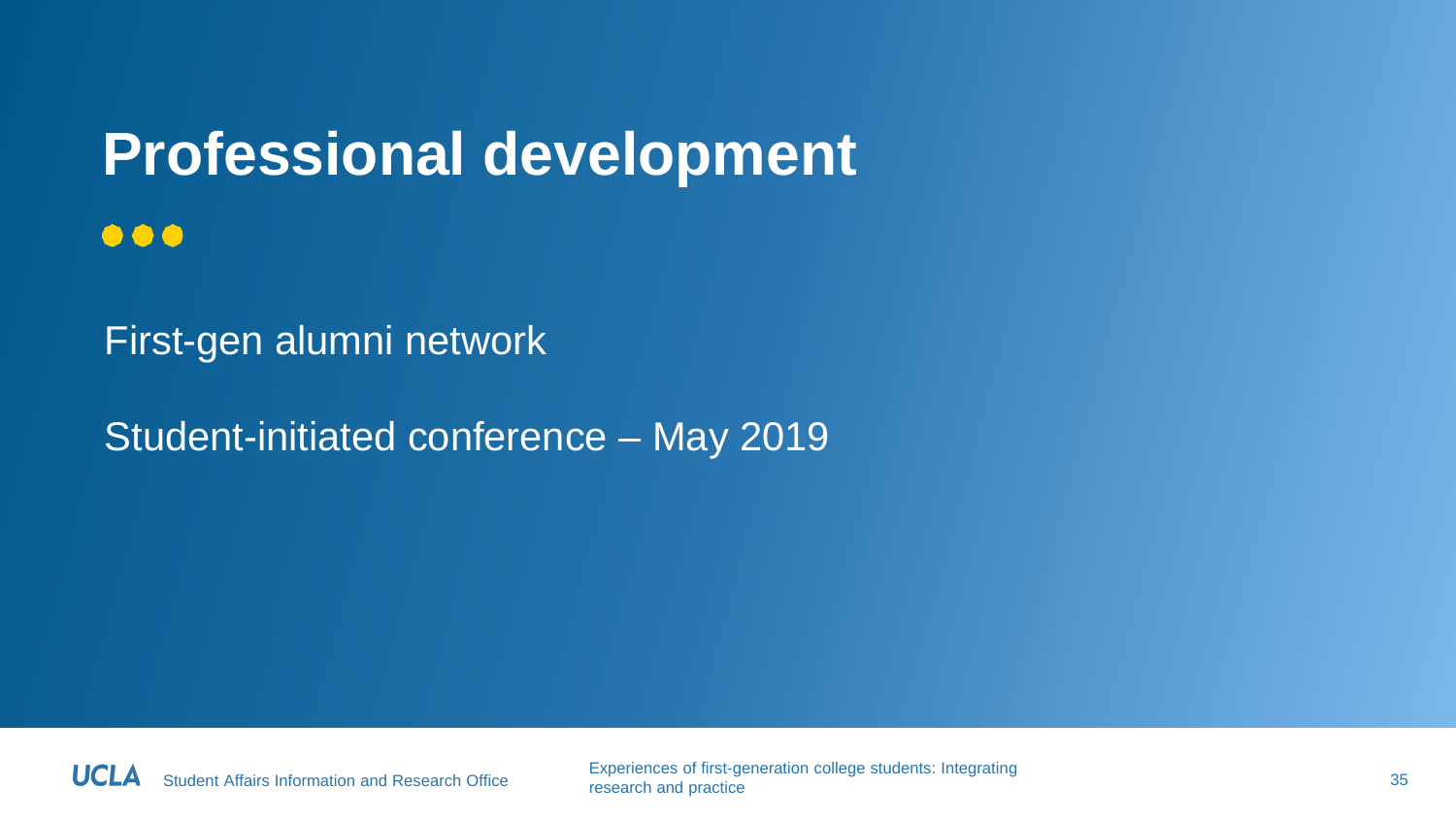#### **Professional development**  $\bullet\bullet\bullet$

First-gen alumni network

Student-initiated conference – May 2019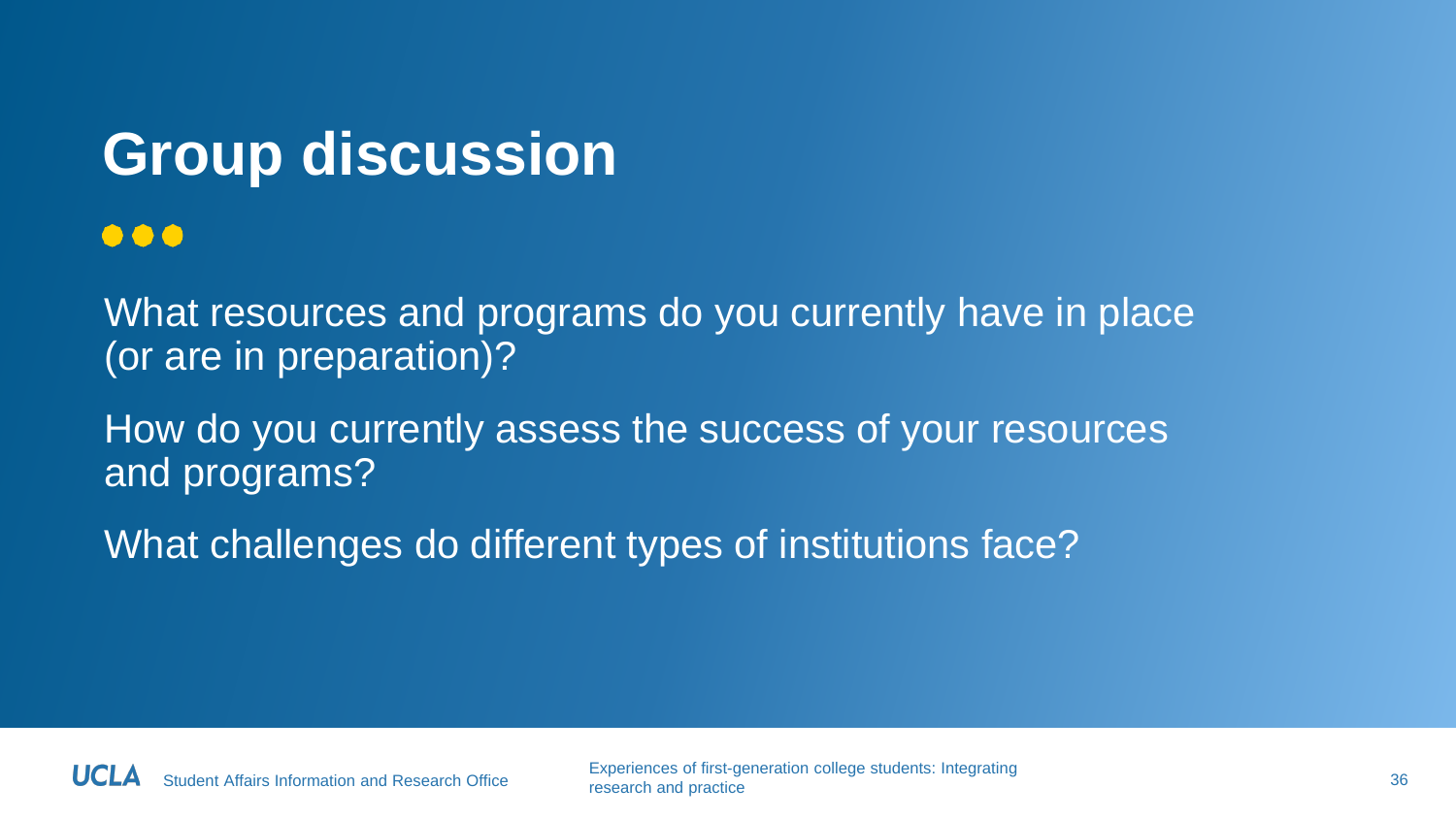### **Group discussion**

 $\bullet\bullet\bullet$ 

What resources and programs do you currently have in place (or are in preparation)?

How do you currently assess the success of your resources and programs?

What challenges do different types of institutions face?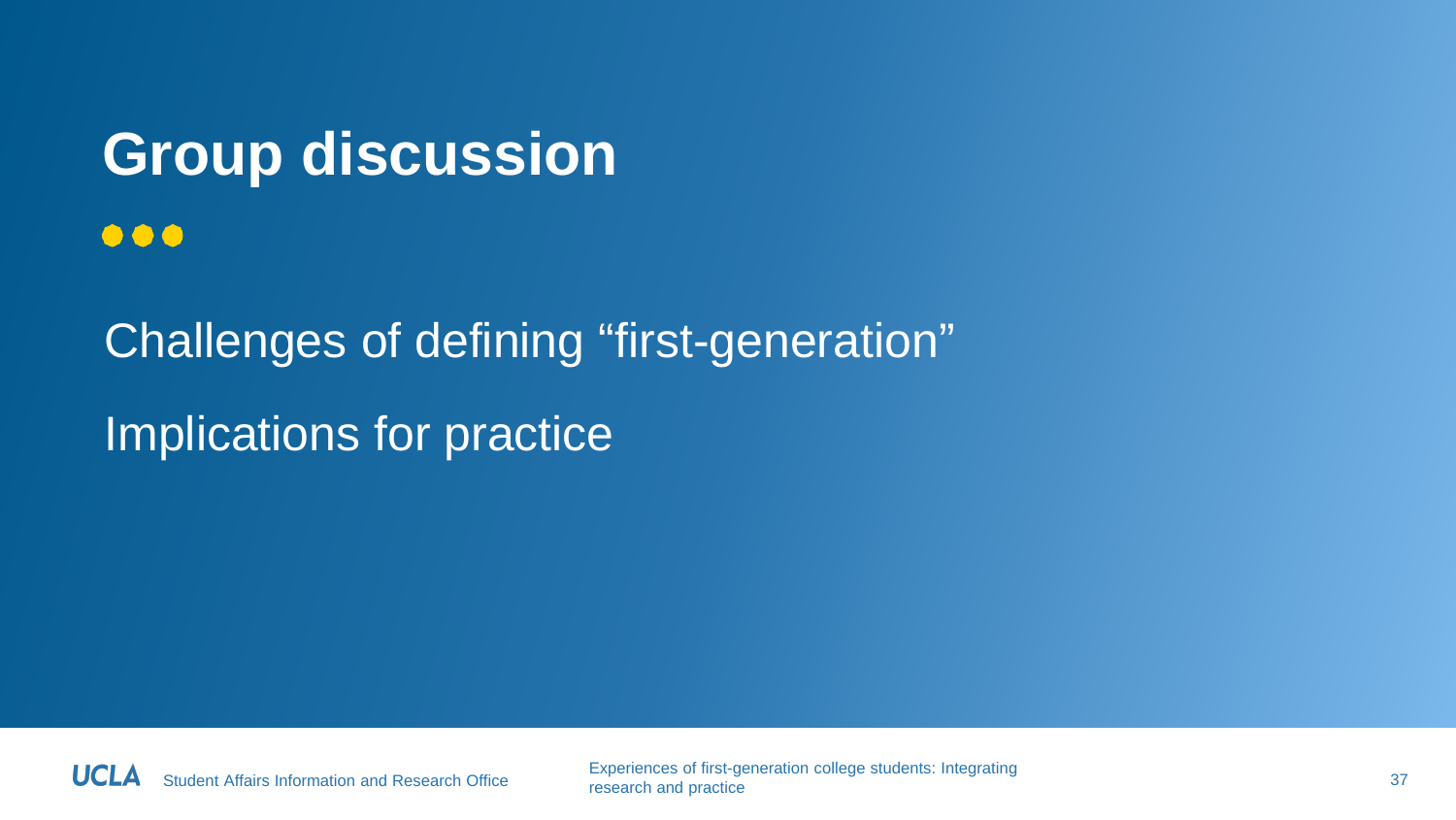### **Group discussion**  $\bullet\bullet\bullet$

Challenges of defining "first-generation" Implications for practice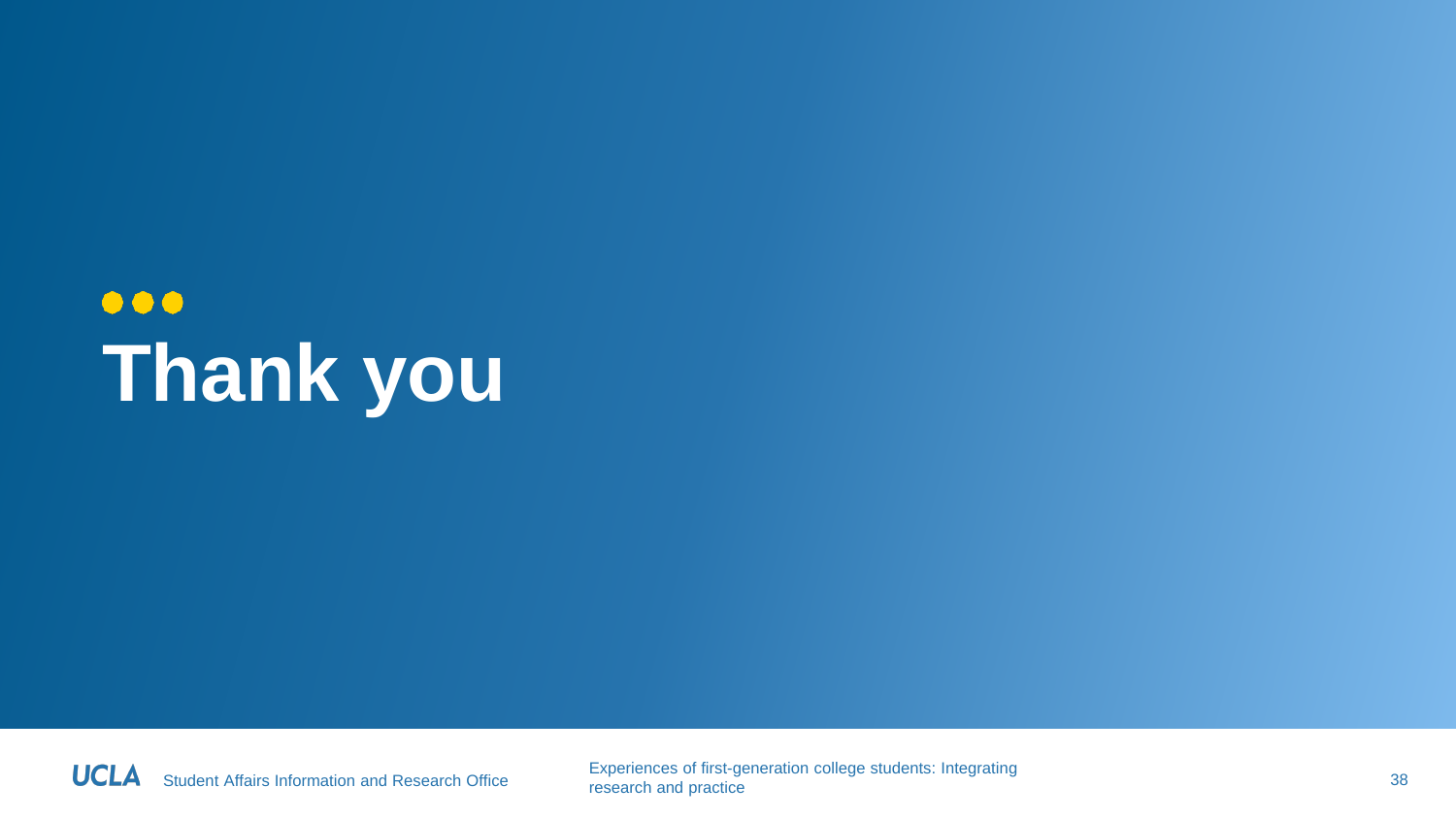### $\bullet\bullet\bullet$ **Thank you**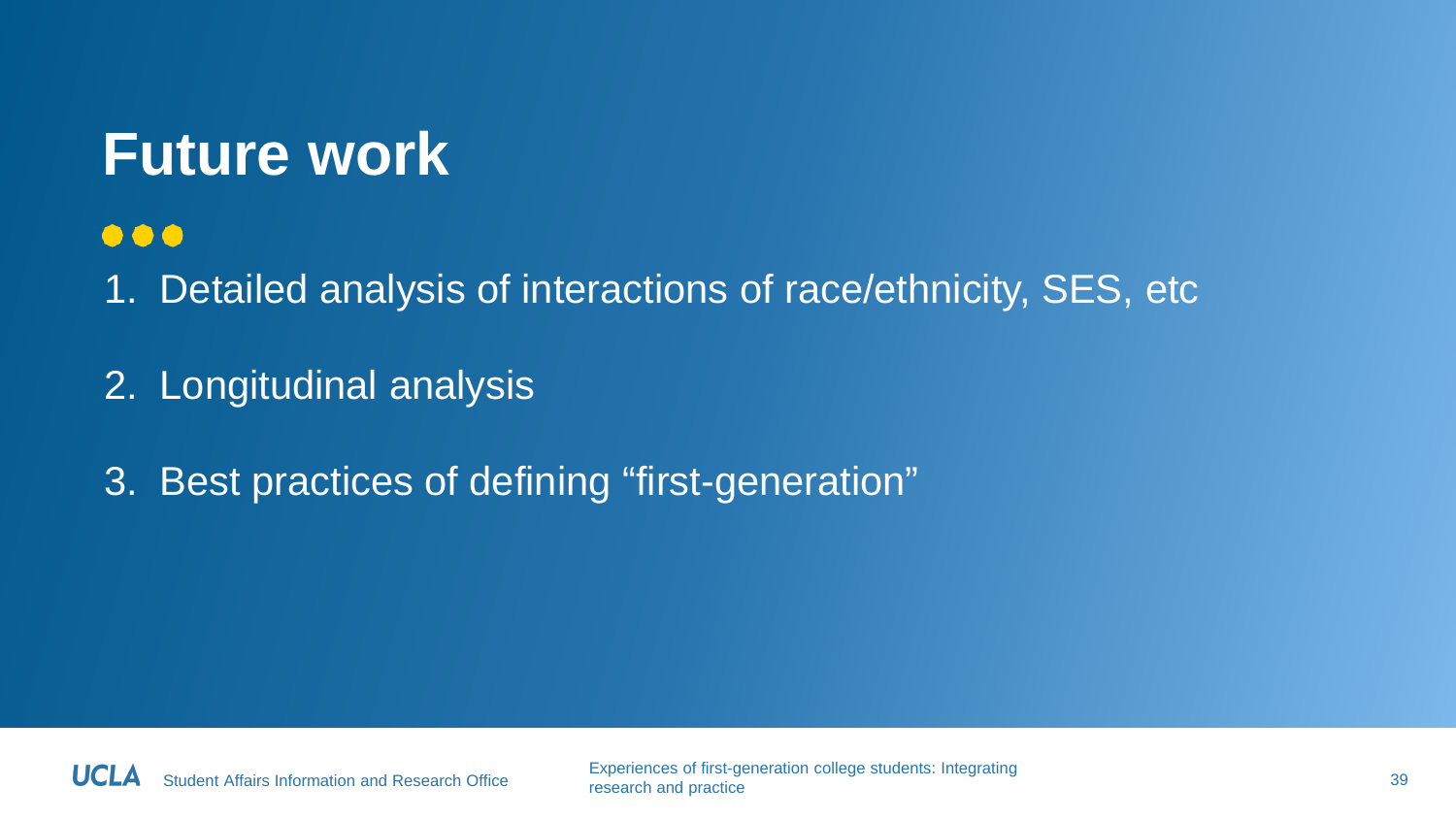### **Future work**

#### $\bullet\bullet\bullet$

1. Detailed analysis of interactions of race/ethnicity, SES, etc

2. Longitudinal analysis

3. Best practices of defining "first-generation"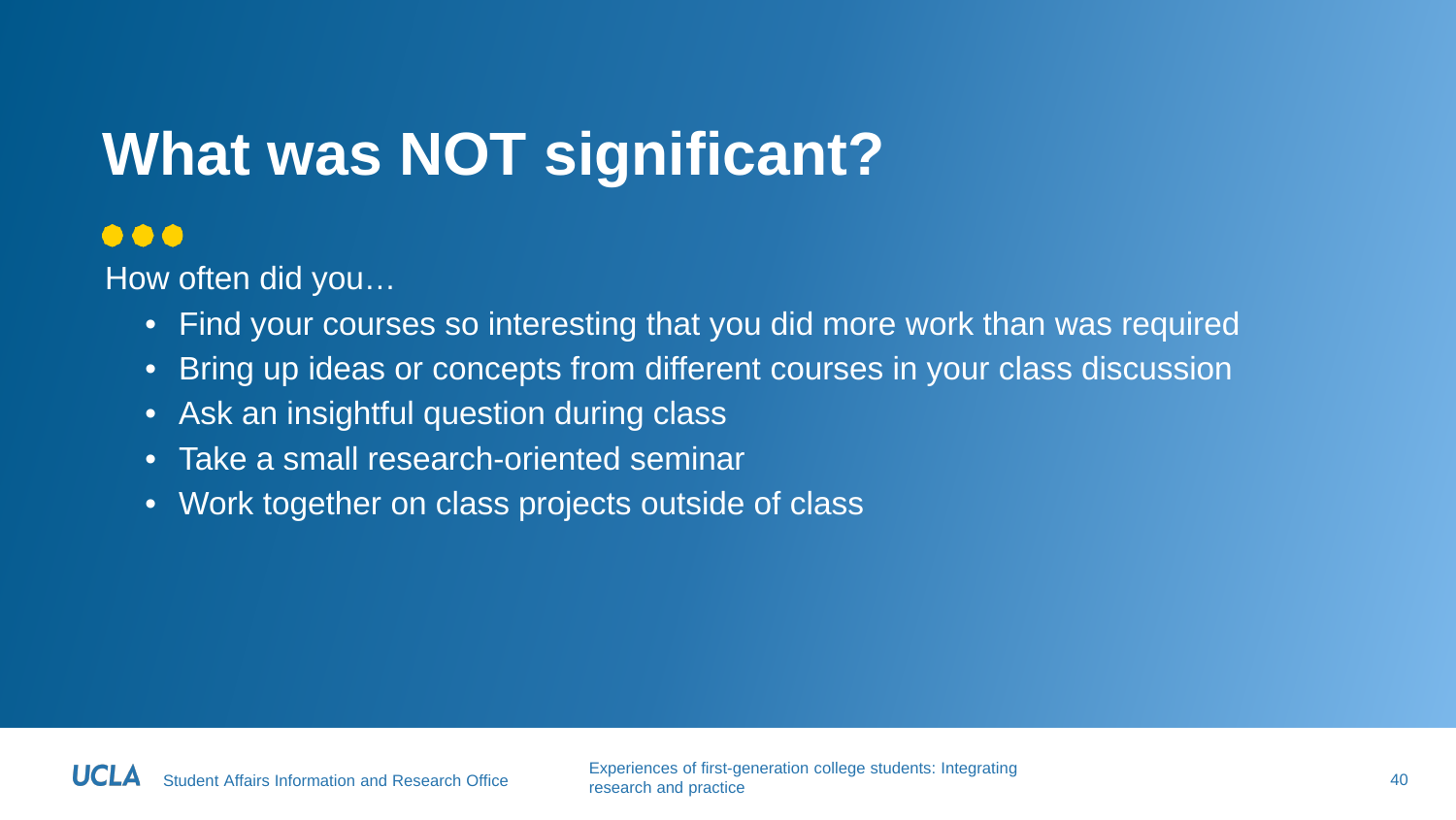### **What was NOT significant?**

#### $\bullet\bullet\bullet$

How often did you…

- Find your courses so interesting that you did more work than was required
- Bring up ideas or concepts from different courses in your class discussion
- Ask an insightful question during class
- Take a small research-oriented seminar
- Work together on class projects outside of class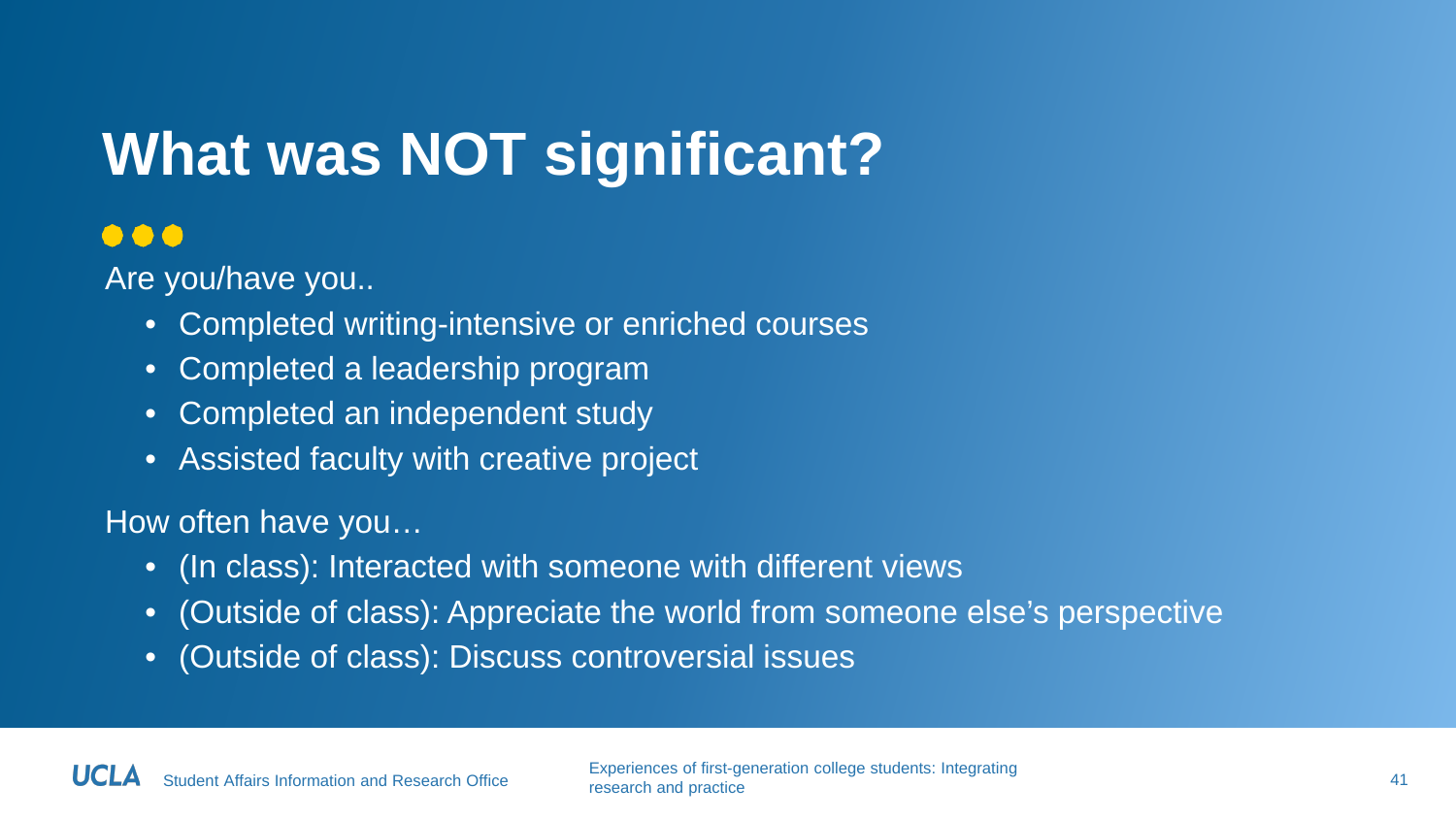### **What was NOT significant?**

#### $\bullet\bullet\bullet$

Are you/have you..

- Completed writing-intensive or enriched courses
- Completed a leadership program
- Completed an independent study
- Assisted faculty with creative project

#### How often have you…

- (In class): Interacted with someone with different views
- (Outside of class): Appreciate the world from someone else's perspective
- (Outside of class): Discuss controversial issues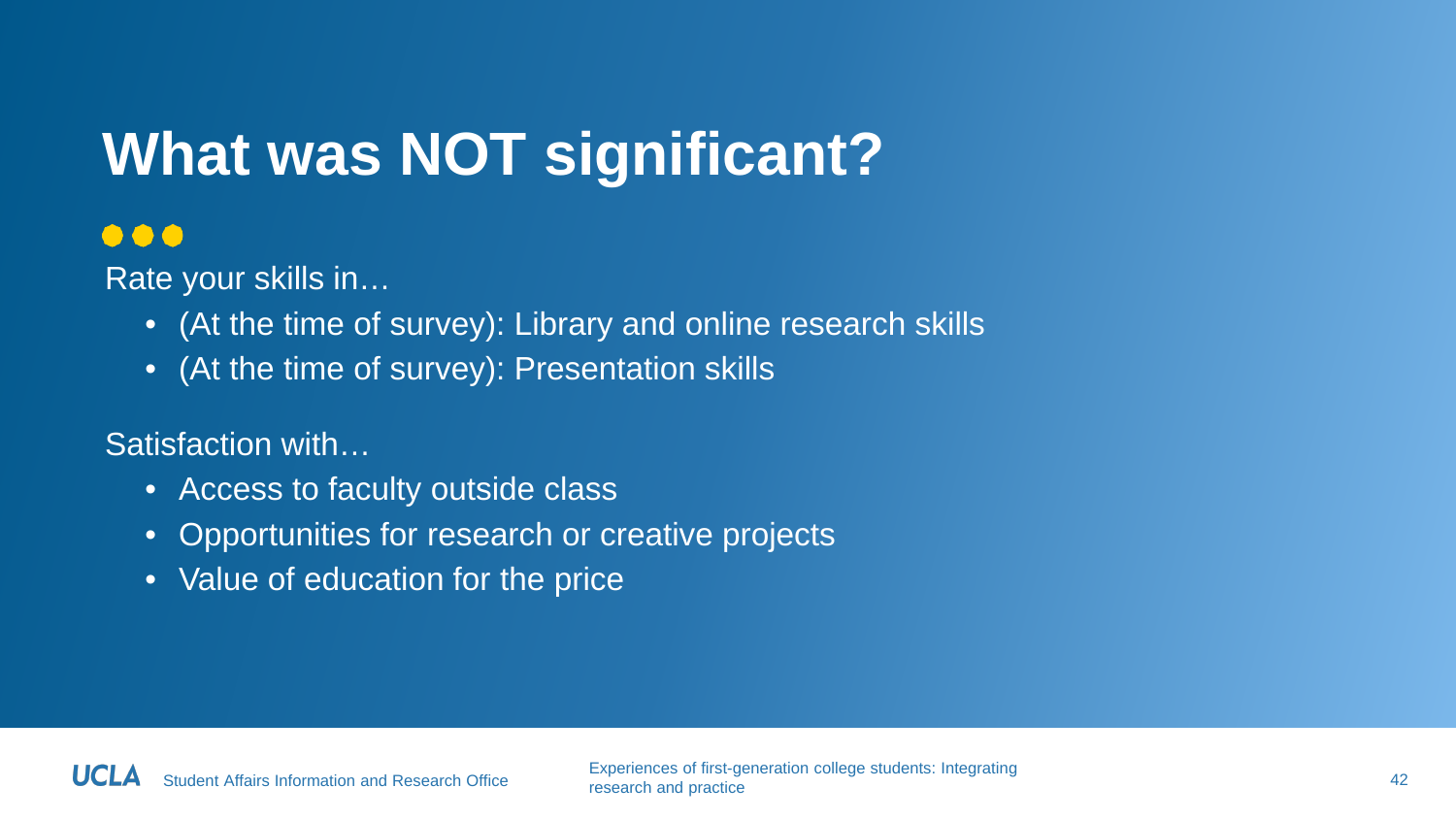### **What was NOT significant?**

#### $\bullet\bullet\bullet$

Rate your skills in…

- (At the time of survey): Library and online research skills
- (At the time of survey): Presentation skills

Satisfaction with…

- Access to faculty outside class
- Opportunities for research or creative projects
- Value of education for the price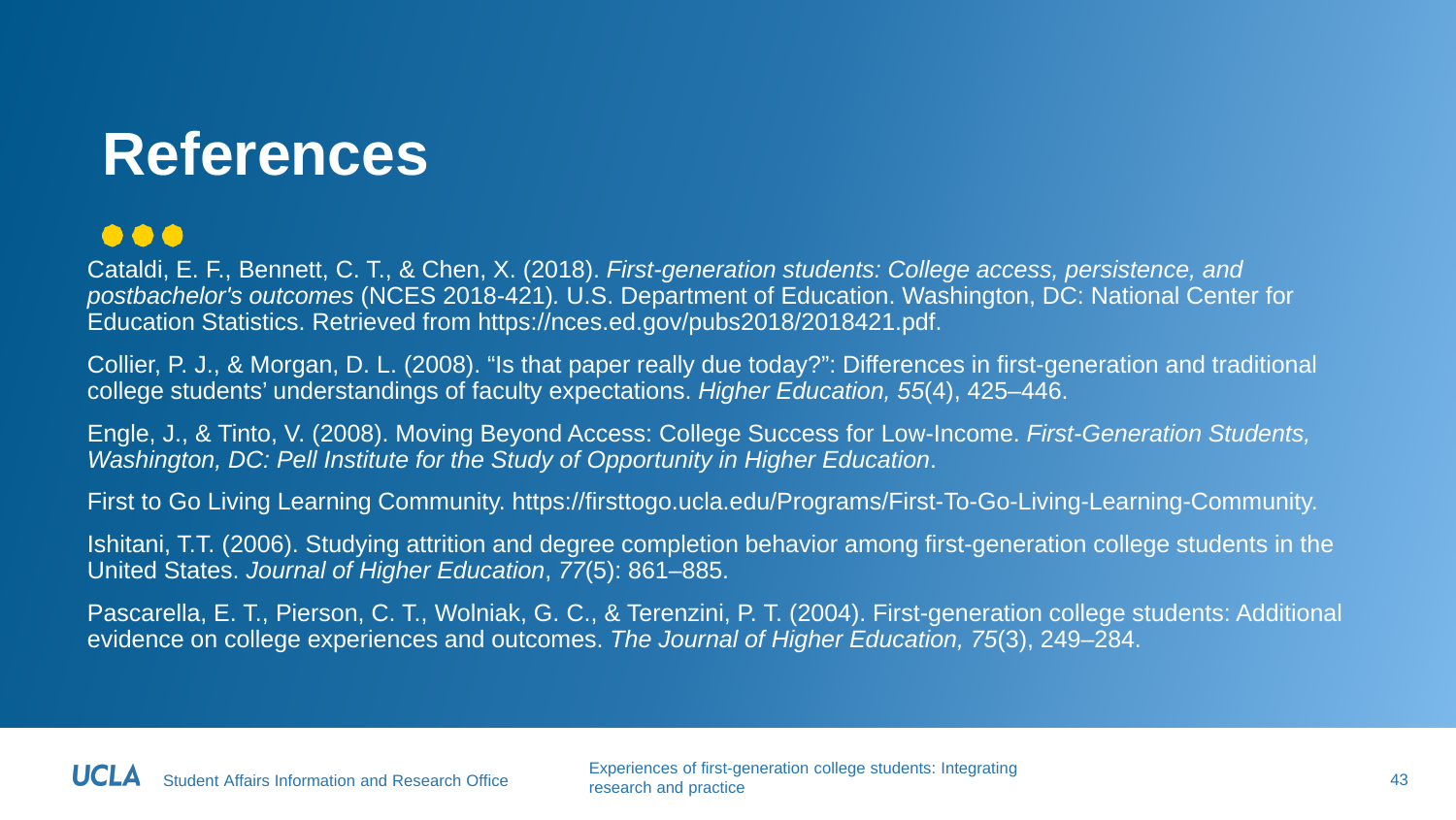### **References**

#### $\bullet \bullet \bullet$

Cataldi, E. F., Bennett, C. T., & Chen, X. (2018). *First-generation students: College access, persistence, and postbachelor's outcomes* (NCES 2018-421)*.* U.S. Department of Education. Washington, DC: National Center for Education Statistics. Retrieved from https://nces.ed.gov/pubs2018/2018421.pdf.

Collier, P. J., & Morgan, D. L. (2008). "Is that paper really due today?": Differences in first-generation and traditional college students' understandings of faculty expectations. *Higher Education, 55*(4), 425–446.

Engle, J., & Tinto, V. (2008). Moving Beyond Access: College Success for Low-Income. *First-Generation Students, Washington, DC: Pell Institute for the Study of Opportunity in Higher Education*.

First to Go Living Learning Community. https://firsttogo.ucla.edu/Programs/First-To-Go-Living-Learning-Community.

Ishitani, T.T. (2006). Studying attrition and degree completion behavior among first-generation college students in the United States. *Journal of Higher Education*, *77*(5): 861–885.

Pascarella, E. T., Pierson, C. T., Wolniak, G. C., & Terenzini, P. T. (2004). First-generation college students: Additional evidence on college experiences and outcomes. *The Journal of Higher Education, 75*(3), 249–284.